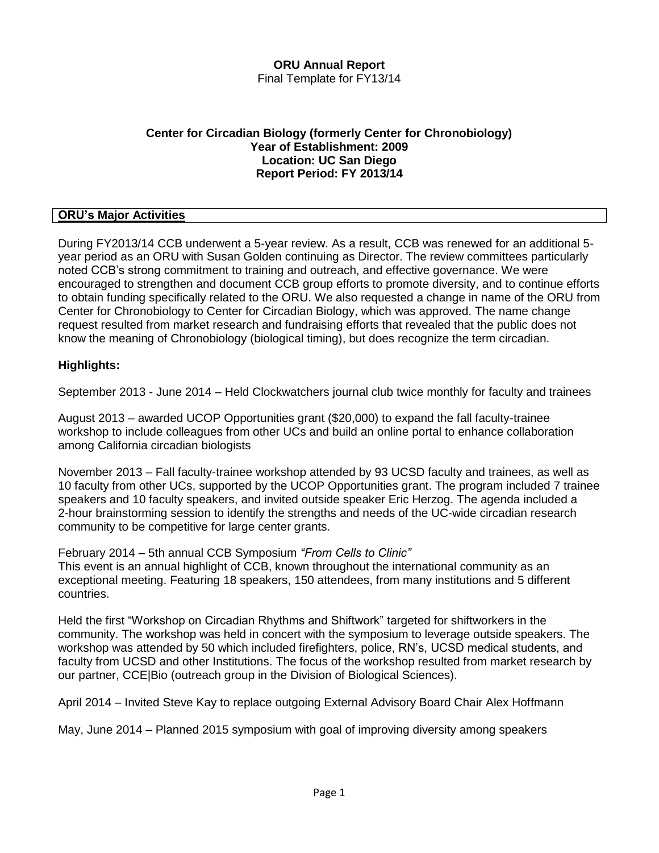#### **ORU Annual Report** Final Template for FY13/14

#### **Center for Circadian Biology (formerly Center for Chronobiology) Year of Establishment: 2009 Location: UC San Diego Report Period: FY 2013/14**

### **ORU's Major Activities**

During FY2013/14 CCB underwent a 5-year review. As a result, CCB was renewed for an additional 5 year period as an ORU with Susan Golden continuing as Director. The review committees particularly noted CCB's strong commitment to training and outreach, and effective governance. We were encouraged to strengthen and document CCB group efforts to promote diversity, and to continue efforts to obtain funding specifically related to the ORU. We also requested a change in name of the ORU from Center for Chronobiology to Center for Circadian Biology, which was approved. The name change request resulted from market research and fundraising efforts that revealed that the public does not know the meaning of Chronobiology (biological timing), but does recognize the term circadian.

### **Highlights:**

September 2013 - June 2014 – Held Clockwatchers journal club twice monthly for faculty and trainees

August 2013 – awarded UCOP Opportunities grant (\$20,000) to expand the fall faculty-trainee workshop to include colleagues from other UCs and build an online portal to enhance collaboration among California circadian biologists

November 2013 – Fall faculty-trainee workshop attended by 93 UCSD faculty and trainees, as well as 10 faculty from other UCs, supported by the UCOP Opportunities grant. The program included 7 trainee speakers and 10 faculty speakers, and invited outside speaker Eric Herzog. The agenda included a 2-hour brainstorming session to identify the strengths and needs of the UC-wide circadian research community to be competitive for large center grants.

February 2014 – 5th annual CCB Symposium *"From Cells to Clinic"*

This event is an annual highlight of CCB, known throughout the international community as an exceptional meeting. Featuring 18 speakers, 150 attendees, from many institutions and 5 different countries.

Held the first "Workshop on Circadian Rhythms and Shiftwork" targeted for shiftworkers in the community. The workshop was held in concert with the symposium to leverage outside speakers. The workshop was attended by 50 which included firefighters, police, RN's, UCSD medical students, and faculty from UCSD and other Institutions. The focus of the workshop resulted from market research by our partner, CCE|Bio (outreach group in the Division of Biological Sciences).

April 2014 – Invited Steve Kay to replace outgoing External Advisory Board Chair Alex Hoffmann

May, June 2014 – Planned 2015 symposium with goal of improving diversity among speakers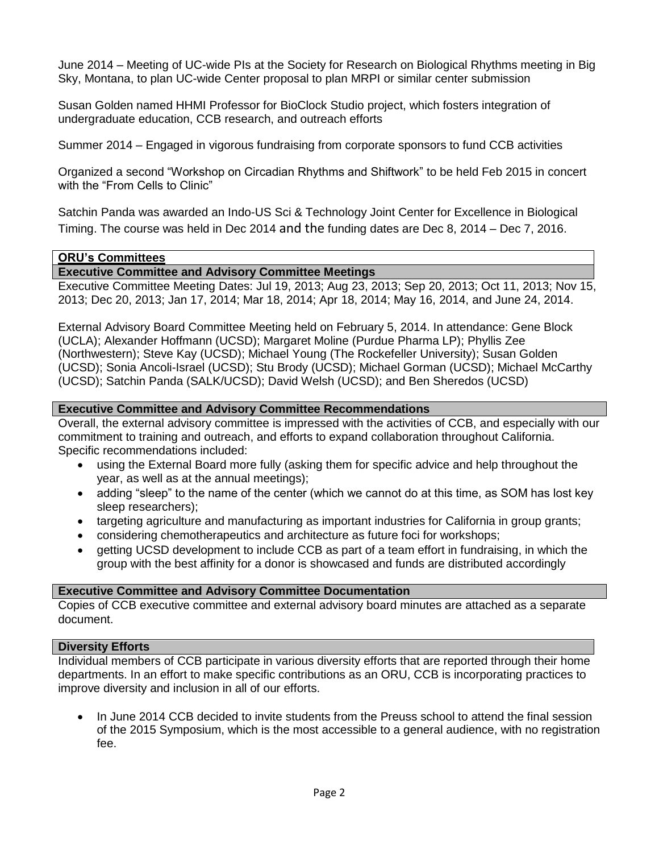June 2014 – Meeting of UC-wide PIs at the Society for Research on Biological Rhythms meeting in Big Sky, Montana, to plan UC-wide Center proposal to plan MRPI or similar center submission

Susan Golden named HHMI Professor for BioClock Studio project, which fosters integration of undergraduate education, CCB research, and outreach efforts

Summer 2014 – Engaged in vigorous fundraising from corporate sponsors to fund CCB activities

Organized a second "Workshop on Circadian Rhythms and Shiftwork" to be held Feb 2015 in concert with the "From Cells to Clinic"

Satchin Panda was awarded an Indo-US Sci & Technology Joint Center for Excellence in Biological Timing. The course was held in Dec 2014 and the funding dates are Dec 8, 2014 – Dec 7, 2016.

#### **ORU's Committees**

#### **Executive Committee and Advisory Committee Meetings**

Executive Committee Meeting Dates: Jul 19, 2013; Aug 23, 2013; Sep 20, 2013; Oct 11, 2013; Nov 15, 2013; Dec 20, 2013; Jan 17, 2014; Mar 18, 2014; Apr 18, 2014; May 16, 2014, and June 24, 2014.

External Advisory Board Committee Meeting held on February 5, 2014. In attendance: Gene Block (UCLA); Alexander Hoffmann (UCSD); Margaret Moline (Purdue Pharma LP); Phyllis Zee (Northwestern); Steve Kay (UCSD); Michael Young (The Rockefeller University); Susan Golden (UCSD); Sonia Ancoli-Israel (UCSD); Stu Brody (UCSD); Michael Gorman (UCSD); Michael McCarthy (UCSD); Satchin Panda (SALK/UCSD); David Welsh (UCSD); and Ben Sheredos (UCSD)

#### **Executive Committee and Advisory Committee Recommendations**

Overall, the external advisory committee is impressed with the activities of CCB, and especially with our commitment to training and outreach, and efforts to expand collaboration throughout California. Specific recommendations included:

- using the External Board more fully (asking them for specific advice and help throughout the year, as well as at the annual meetings);
- adding "sleep" to the name of the center (which we cannot do at this time, as SOM has lost key sleep researchers);
- targeting agriculture and manufacturing as important industries for California in group grants;
- considering chemotherapeutics and architecture as future foci for workshops;
- getting UCSD development to include CCB as part of a team effort in fundraising, in which the group with the best affinity for a donor is showcased and funds are distributed accordingly

#### **Executive Committee and Advisory Committee Documentation**

Copies of CCB executive committee and external advisory board minutes are attached as a separate document.

#### **Diversity Efforts**

Individual members of CCB participate in various diversity efforts that are reported through their home departments. In an effort to make specific contributions as an ORU, CCB is incorporating practices to improve diversity and inclusion in all of our efforts.

 In June 2014 CCB decided to invite students from the Preuss school to attend the final session of the 2015 Symposium, which is the most accessible to a general audience, with no registration fee.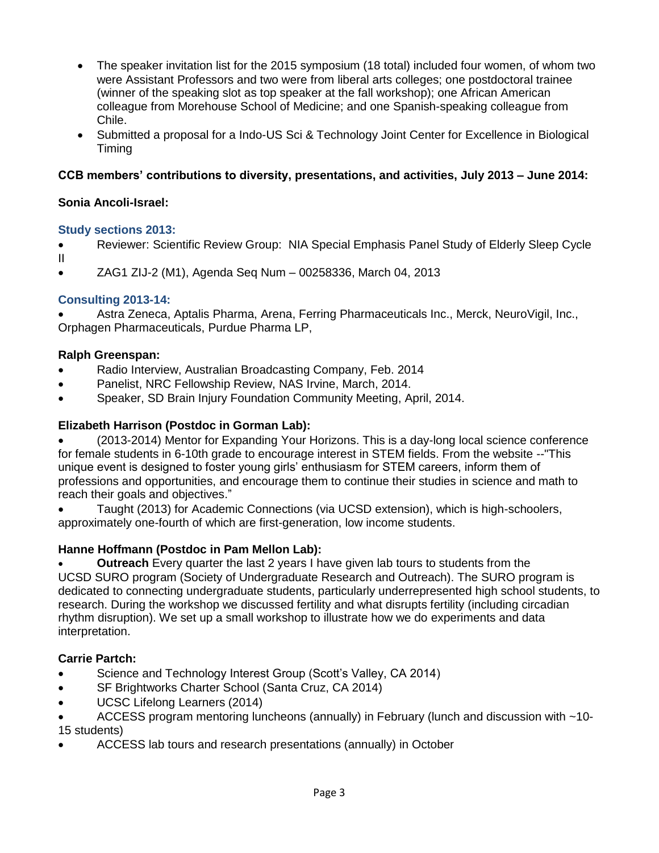- The speaker invitation list for the 2015 symposium (18 total) included four women, of whom two were Assistant Professors and two were from liberal arts colleges; one postdoctoral trainee (winner of the speaking slot as top speaker at the fall workshop); one African American colleague from Morehouse School of Medicine; and one Spanish-speaking colleague from Chile.
- Submitted a proposal for a Indo-US Sci & Technology Joint Center for Excellence in Biological Timing

## **CCB members' contributions to diversity, presentations, and activities, July 2013 – June 2014:**

## **Sonia Ancoli-Israel:**

### **Study sections 2013:**

- Reviewer: Scientific Review Group: NIA Special Emphasis Panel Study of Elderly Sleep Cycle II
- ZAG1 ZIJ-2 (M1), Agenda Seq Num 00258336, March 04, 2013

## **Consulting 2013-14:**

 Astra Zeneca, Aptalis Pharma, Arena, Ferring Pharmaceuticals Inc., Merck, NeuroVigil, Inc., Orphagen Pharmaceuticals, Purdue Pharma LP,

### **Ralph Greenspan:**

- Radio Interview, Australian Broadcasting Company, Feb. 2014
- Panelist, NRC Fellowship Review, NAS Irvine, March, 2014.
- Speaker, SD Brain Injury Foundation Community Meeting, April, 2014.

## **Elizabeth Harrison (Postdoc in Gorman Lab):**

 (2013-2014) Mentor for Expanding Your Horizons. This is a day-long local science conference for female students in 6-10th grade to encourage interest in STEM fields. From the website --"This unique event is designed to foster young girls' enthusiasm for STEM careers, inform them of professions and opportunities, and encourage them to continue their studies in science and math to reach their goals and objectives."

 Taught (2013) for Academic Connections (via UCSD extension), which is high-schoolers, approximately one-fourth of which are first-generation, low income students.

## **Hanne Hoffmann (Postdoc in Pam Mellon Lab):**

 **Outreach** Every quarter the last 2 years I have given lab tours to students from the UCSD SURO program (Society of Undergraduate Research and Outreach). The SURO program is dedicated to connecting undergraduate students, particularly underrepresented high school students, to research. During the workshop we discussed fertility and what disrupts fertility (including circadian rhythm disruption). We set up a small workshop to illustrate how we do experiments and data interpretation.

## **Carrie Partch:**

- Science and Technology Interest Group (Scott's Valley, CA 2014)
- SF Brightworks Charter School (Santa Cruz, CA 2014)
- UCSC Lifelong Learners (2014)
- ACCESS program mentoring luncheons (annually) in February (lunch and discussion with ~10- 15 students)
- ACCESS lab tours and research presentations (annually) in October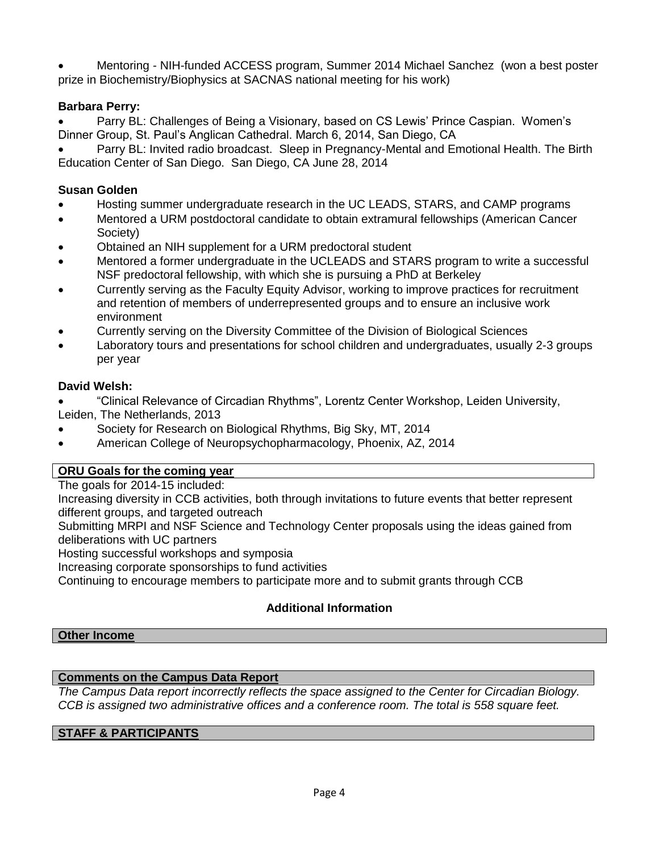Mentoring - NIH-funded ACCESS program, Summer 2014 Michael Sanchez (won a best poster prize in Biochemistry/Biophysics at SACNAS national meeting for his work)

### **Barbara Perry:**

 Parry BL: Challenges of Being a Visionary, based on CS Lewis' Prince Caspian. Women's Dinner Group, St. Paul's Anglican Cathedral. March 6, 2014, San Diego, CA

 Parry BL: Invited radio broadcast. Sleep in Pregnancy-Mental and Emotional Health. The Birth Education Center of San Diego. San Diego, CA June 28, 2014

### **Susan Golden**

- Hosting summer undergraduate research in the UC LEADS, STARS, and CAMP programs
- Mentored a URM postdoctoral candidate to obtain extramural fellowships (American Cancer Society)
- Obtained an NIH supplement for a URM predoctoral student
- Mentored a former undergraduate in the UCLEADS and STARS program to write a successful NSF predoctoral fellowship, with which she is pursuing a PhD at Berkeley
- Currently serving as the Faculty Equity Advisor, working to improve practices for recruitment and retention of members of underrepresented groups and to ensure an inclusive work environment
- Currently serving on the Diversity Committee of the Division of Biological Sciences
- Laboratory tours and presentations for school children and undergraduates, usually 2-3 groups per year

### **David Welsh:**

- "Clinical Relevance of Circadian Rhythms", Lorentz Center Workshop, Leiden University, Leiden, The Netherlands, 2013
- Society for Research on Biological Rhythms, Big Sky, MT, 2014
- American College of Neuropsychopharmacology, Phoenix, AZ, 2014

### **ORU Goals for the coming year**

The goals for 2014-15 included:

Increasing diversity in CCB activities, both through invitations to future events that better represent different groups, and targeted outreach

Submitting MRPI and NSF Science and Technology Center proposals using the ideas gained from deliberations with UC partners

Hosting successful workshops and symposia

Increasing corporate sponsorships to fund activities

Continuing to encourage members to participate more and to submit grants through CCB

## **Additional Information**

#### **Other Income**

### **Comments on the Campus Data Report**

*The Campus Data report incorrectly reflects the space assigned to the Center for Circadian Biology. CCB is assigned two administrative offices and a conference room. The total is 558 square feet.*

### **STAFF & PARTICIPANTS**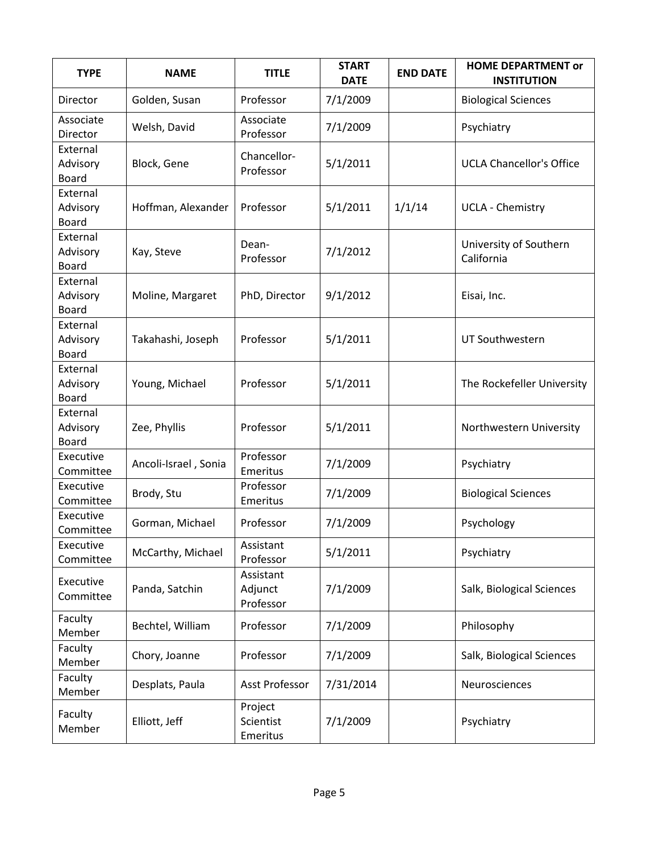| <b>TYPE</b>                          | <b>NAME</b>          | <b>TITLE</b>                      | <b>START</b><br><b>DATE</b> | <b>END DATE</b> | <b>HOME DEPARTMENT or</b><br><b>INSTITUTION</b> |
|--------------------------------------|----------------------|-----------------------------------|-----------------------------|-----------------|-------------------------------------------------|
| Director                             | Golden, Susan        | Professor                         | 7/1/2009                    |                 | <b>Biological Sciences</b>                      |
| Associate<br>Director                | Welsh, David         | Associate<br>Professor            | 7/1/2009                    |                 | Psychiatry                                      |
| External<br>Advisory<br><b>Board</b> | Block, Gene          | Chancellor-<br>Professor          | 5/1/2011                    |                 | <b>UCLA Chancellor's Office</b>                 |
| External<br>Advisory<br>Board        | Hoffman, Alexander   | Professor                         | 5/1/2011                    | 1/1/14          | <b>UCLA - Chemistry</b>                         |
| External<br>Advisory<br>Board        | Kay, Steve           | Dean-<br>Professor                | 7/1/2012                    |                 | University of Southern<br>California            |
| External<br>Advisory<br><b>Board</b> | Moline, Margaret     | PhD, Director                     | 9/1/2012                    |                 | Eisai, Inc.                                     |
| External<br>Advisory<br>Board        | Takahashi, Joseph    | Professor                         | 5/1/2011                    |                 | UT Southwestern                                 |
| External<br>Advisory<br><b>Board</b> | Young, Michael       | Professor                         | 5/1/2011                    |                 | The Rockefeller University                      |
| External<br>Advisory<br>Board        | Zee, Phyllis         | Professor                         | 5/1/2011                    |                 | Northwestern University                         |
| Executive<br>Committee               | Ancoli-Israel, Sonia | Professor<br>Emeritus             | 7/1/2009                    |                 | Psychiatry                                      |
| Executive<br>Committee               | Brody, Stu           | Professor<br>Emeritus             | 7/1/2009                    |                 | <b>Biological Sciences</b>                      |
| Executive<br>Committee               | Gorman, Michael      | Professor                         | 7/1/2009                    |                 | Psychology                                      |
| Executive<br>Committee               | McCarthy, Michael    | Assistant<br>Professor            | 5/1/2011                    |                 | Psychiatry                                      |
| Executive<br>Committee               | Panda, Satchin       | Assistant<br>Adjunct<br>Professor | 7/1/2009                    |                 | Salk, Biological Sciences                       |
| Faculty<br>Member                    | Bechtel, William     | Professor                         | 7/1/2009                    |                 | Philosophy                                      |
| Faculty<br>Member                    | Chory, Joanne        | Professor                         | 7/1/2009                    |                 | Salk, Biological Sciences                       |
| Faculty<br>Member                    | Desplats, Paula      | <b>Asst Professor</b>             | 7/31/2014                   |                 | Neurosciences                                   |
| Faculty<br>Member                    | Elliott, Jeff        | Project<br>Scientist<br>Emeritus  | 7/1/2009                    |                 | Psychiatry                                      |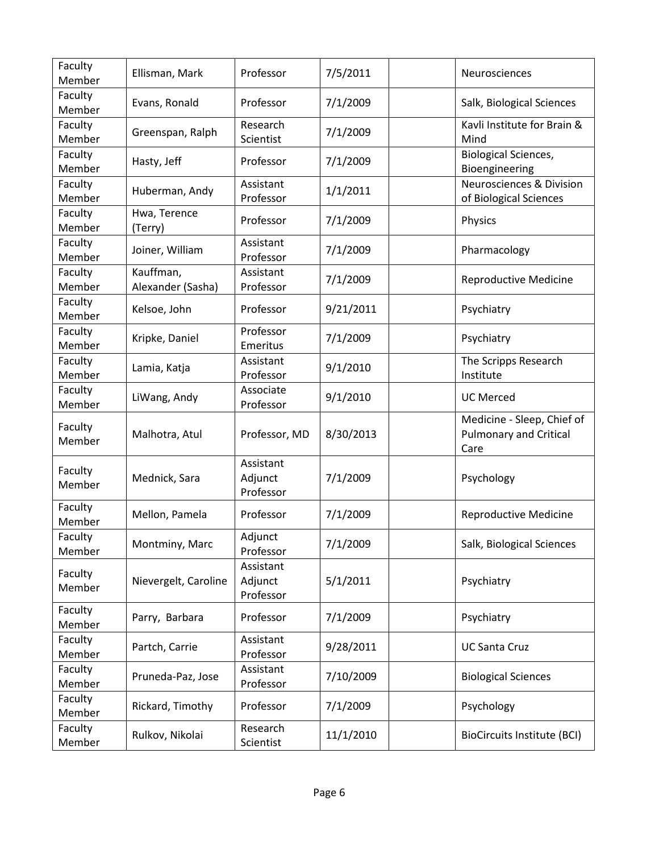| Faculty<br>Member | Ellisman, Mark                 | Professor                         | 7/5/2011  | Neurosciences                                                       |
|-------------------|--------------------------------|-----------------------------------|-----------|---------------------------------------------------------------------|
| Faculty<br>Member | Evans, Ronald                  | Professor                         | 7/1/2009  | Salk, Biological Sciences                                           |
| Faculty<br>Member | Greenspan, Ralph               | Research<br>Scientist             | 7/1/2009  | Kavli Institute for Brain &<br>Mind                                 |
| Faculty<br>Member | Hasty, Jeff                    | Professor                         | 7/1/2009  | <b>Biological Sciences,</b><br>Bioengineering                       |
| Faculty<br>Member | Huberman, Andy                 | Assistant<br>Professor            | 1/1/2011  | <b>Neurosciences &amp; Division</b><br>of Biological Sciences       |
| Faculty<br>Member | Hwa, Terence<br>(Terry)        | Professor                         | 7/1/2009  | Physics                                                             |
| Faculty<br>Member | Joiner, William                | Assistant<br>Professor            | 7/1/2009  | Pharmacology                                                        |
| Faculty<br>Member | Kauffman,<br>Alexander (Sasha) | Assistant<br>Professor            | 7/1/2009  | <b>Reproductive Medicine</b>                                        |
| Faculty<br>Member | Kelsoe, John                   | Professor                         | 9/21/2011 | Psychiatry                                                          |
| Faculty<br>Member | Kripke, Daniel                 | Professor<br>Emeritus             | 7/1/2009  | Psychiatry                                                          |
| Faculty<br>Member | Lamia, Katja                   | Assistant<br>Professor            | 9/1/2010  | The Scripps Research<br>Institute                                   |
| Faculty<br>Member | LiWang, Andy                   | Associate<br>Professor            | 9/1/2010  | <b>UC Merced</b>                                                    |
| Faculty<br>Member | Malhotra, Atul                 | Professor, MD                     | 8/30/2013 | Medicine - Sleep, Chief of<br><b>Pulmonary and Critical</b><br>Care |
| Faculty<br>Member | Mednick, Sara                  | Assistant<br>Adjunct<br>Professor | 7/1/2009  | Psychology                                                          |
| Faculty<br>Member | Mellon, Pamela                 | Professor                         | 7/1/2009  | <b>Reproductive Medicine</b>                                        |
| Faculty<br>Member | Montminy, Marc                 | Adjunct<br>Professor              | 7/1/2009  | Salk, Biological Sciences                                           |
| Faculty<br>Member | Nievergelt, Caroline           | Assistant<br>Adjunct<br>Professor | 5/1/2011  | Psychiatry                                                          |
| Faculty<br>Member | Parry, Barbara                 | Professor                         | 7/1/2009  | Psychiatry                                                          |
| Faculty<br>Member | Partch, Carrie                 | Assistant<br>Professor            | 9/28/2011 | <b>UC Santa Cruz</b>                                                |
| Faculty<br>Member | Pruneda-Paz, Jose              | Assistant<br>Professor            | 7/10/2009 | <b>Biological Sciences</b>                                          |
| Faculty<br>Member | Rickard, Timothy               | Professor                         | 7/1/2009  | Psychology                                                          |
| Faculty<br>Member | Rulkov, Nikolai                | Research<br>Scientist             | 11/1/2010 | <b>BioCircuits Institute (BCI)</b>                                  |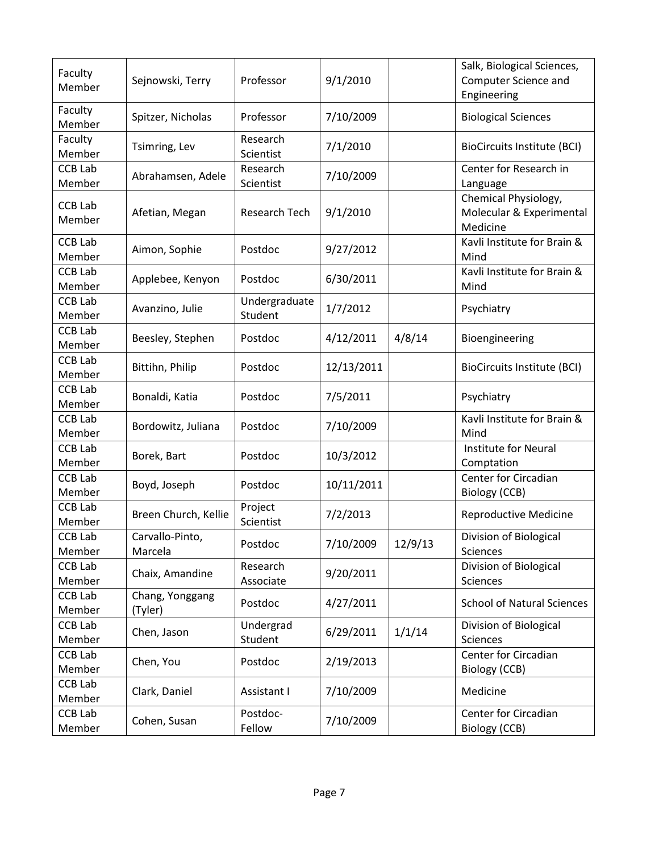| Faculty<br>Member        | Sejnowski, Terry           | Professor                | 9/1/2010   |         | Salk, Biological Sciences,<br>Computer Science and<br>Engineering |
|--------------------------|----------------------------|--------------------------|------------|---------|-------------------------------------------------------------------|
| Faculty<br>Member        | Spitzer, Nicholas          | Professor                | 7/10/2009  |         | <b>Biological Sciences</b>                                        |
| Faculty<br>Member        | Tsimring, Lev              | Research<br>Scientist    | 7/1/2010   |         | <b>BioCircuits Institute (BCI)</b>                                |
| <b>CCB Lab</b><br>Member | Abrahamsen, Adele          | Research<br>Scientist    | 7/10/2009  |         | Center for Research in<br>Language                                |
| <b>CCB Lab</b><br>Member | Afetian, Megan             | Research Tech            | 9/1/2010   |         | Chemical Physiology,<br>Molecular & Experimental<br>Medicine      |
| <b>CCB Lab</b><br>Member | Aimon, Sophie              | Postdoc                  | 9/27/2012  |         | Kavli Institute for Brain &<br>Mind                               |
| <b>CCB Lab</b><br>Member | Applebee, Kenyon           | Postdoc                  | 6/30/2011  |         | Kavli Institute for Brain &<br>Mind                               |
| <b>CCB Lab</b><br>Member | Avanzino, Julie            | Undergraduate<br>Student | 1/7/2012   |         | Psychiatry                                                        |
| <b>CCB Lab</b><br>Member | Beesley, Stephen           | Postdoc                  | 4/12/2011  | 4/8/14  | Bioengineering                                                    |
| <b>CCB Lab</b><br>Member | Bittihn, Philip            | Postdoc                  | 12/13/2011 |         | <b>BioCircuits Institute (BCI)</b>                                |
| <b>CCB Lab</b><br>Member | Bonaldi, Katia             | Postdoc                  | 7/5/2011   |         | Psychiatry                                                        |
| <b>CCB Lab</b><br>Member | Bordowitz, Juliana         | Postdoc                  | 7/10/2009  |         | Kavli Institute for Brain &<br>Mind                               |
| <b>CCB Lab</b><br>Member | Borek, Bart                | Postdoc                  | 10/3/2012  |         | Institute for Neural<br>Comptation                                |
| <b>CCB Lab</b><br>Member | Boyd, Joseph               | Postdoc                  | 10/11/2011 |         | Center for Circadian<br>Biology (CCB)                             |
| <b>CCB Lab</b><br>Member | Breen Church, Kellie       | Project<br>Scientist     | 7/2/2013   |         | <b>Reproductive Medicine</b>                                      |
| <b>CCB Lab</b><br>Member | Carvallo-Pinto,<br>Marcela | Postdoc                  | 7/10/2009  | 12/9/13 | Division of Biological<br>Sciences                                |
| CCB Lab<br>Member        | Chaix, Amandine            | Research<br>Associate    | 9/20/2011  |         | Division of Biological<br>Sciences                                |
| <b>CCB Lab</b><br>Member | Chang, Yonggang<br>(Tyler) | Postdoc                  | 4/27/2011  |         | <b>School of Natural Sciences</b>                                 |
| CCB Lab<br>Member        | Chen, Jason                | Undergrad<br>Student     | 6/29/2011  | 1/1/14  | Division of Biological<br><b>Sciences</b>                         |
| <b>CCB Lab</b><br>Member | Chen, You                  | Postdoc                  | 2/19/2013  |         | Center for Circadian<br><b>Biology (CCB)</b>                      |
| <b>CCB Lab</b><br>Member | Clark, Daniel              | Assistant I              | 7/10/2009  |         | Medicine                                                          |
| <b>CCB Lab</b><br>Member | Cohen, Susan               | Postdoc-<br>Fellow       | 7/10/2009  |         | Center for Circadian<br>Biology (CCB)                             |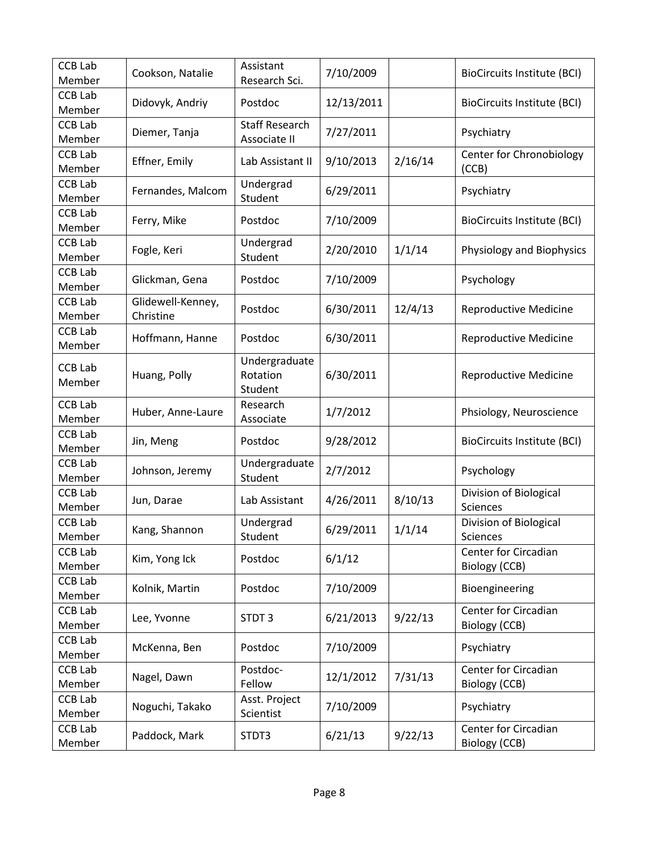| CCB Lab<br>Member        | Cookson, Natalie               | Assistant<br>Research Sci.            | 7/10/2009  |         | <b>BioCircuits Institute (BCI)</b>    |
|--------------------------|--------------------------------|---------------------------------------|------------|---------|---------------------------------------|
| <b>CCB Lab</b><br>Member | Didovyk, Andriy                | Postdoc                               | 12/13/2011 |         | BioCircuits Institute (BCI)           |
| <b>CCB Lab</b><br>Member | Diemer, Tanja                  | <b>Staff Research</b><br>Associate II | 7/27/2011  |         | Psychiatry                            |
| <b>CCB Lab</b><br>Member | Effner, Emily                  | Lab Assistant II                      | 9/10/2013  | 2/16/14 | Center for Chronobiology<br>(CCB)     |
| <b>CCB Lab</b><br>Member | Fernandes, Malcom              | Undergrad<br>Student                  | 6/29/2011  |         | Psychiatry                            |
| <b>CCB Lab</b><br>Member | Ferry, Mike                    | Postdoc                               | 7/10/2009  |         | BioCircuits Institute (BCI)           |
| <b>CCB Lab</b><br>Member | Fogle, Keri                    | Undergrad<br>Student                  | 2/20/2010  | 1/1/14  | Physiology and Biophysics             |
| <b>CCB Lab</b><br>Member | Glickman, Gena                 | Postdoc                               | 7/10/2009  |         | Psychology                            |
| <b>CCB Lab</b><br>Member | Glidewell-Kenney,<br>Christine | Postdoc                               | 6/30/2011  | 12/4/13 | Reproductive Medicine                 |
| <b>CCB Lab</b><br>Member | Hoffmann, Hanne                | Postdoc                               | 6/30/2011  |         | <b>Reproductive Medicine</b>          |
| <b>CCB Lab</b><br>Member | Huang, Polly                   | Undergraduate<br>Rotation<br>Student  | 6/30/2011  |         | Reproductive Medicine                 |
| <b>CCB Lab</b><br>Member | Huber, Anne-Laure              | Research<br>Associate                 | 1/7/2012   |         | Phsiology, Neuroscience               |
| <b>CCB Lab</b><br>Member | Jin, Meng                      | Postdoc                               | 9/28/2012  |         | BioCircuits Institute (BCI)           |
| <b>CCB Lab</b><br>Member | Johnson, Jeremy                | Undergraduate<br>Student              | 2/7/2012   |         | Psychology                            |
| <b>CCB Lab</b><br>Member | Jun, Darae                     | Lab Assistant                         | 4/26/2011  | 8/10/13 | Division of Biological<br>Sciences    |
| <b>CCB Lab</b><br>Member | Kang, Shannon                  | Undergrad<br>Student                  | 6/29/2011  | 1/1/14  | Division of Biological<br>Sciences    |
| CCB Lab<br>Member        | Kim, Yong Ick                  | Postdoc                               | 6/1/12     |         | Center for Circadian<br>Biology (CCB) |
| CCB Lab<br>Member        | Kolnik, Martin                 | Postdoc                               | 7/10/2009  |         | Bioengineering                        |
| <b>CCB Lab</b><br>Member | Lee, Yvonne                    | STDT3                                 | 6/21/2013  | 9/22/13 | Center for Circadian<br>Biology (CCB) |
| <b>CCB Lab</b><br>Member | McKenna, Ben                   | Postdoc                               | 7/10/2009  |         | Psychiatry                            |
| CCB Lab<br>Member        | Nagel, Dawn                    | Postdoc-<br>Fellow                    | 12/1/2012  | 7/31/13 | Center for Circadian<br>Biology (CCB) |
| <b>CCB Lab</b><br>Member | Noguchi, Takako                | Asst. Project<br>Scientist            | 7/10/2009  |         | Psychiatry                            |
| CCB Lab<br>Member        | Paddock, Mark                  | STDT3                                 | 6/21/13    | 9/22/13 | Center for Circadian<br>Biology (CCB) |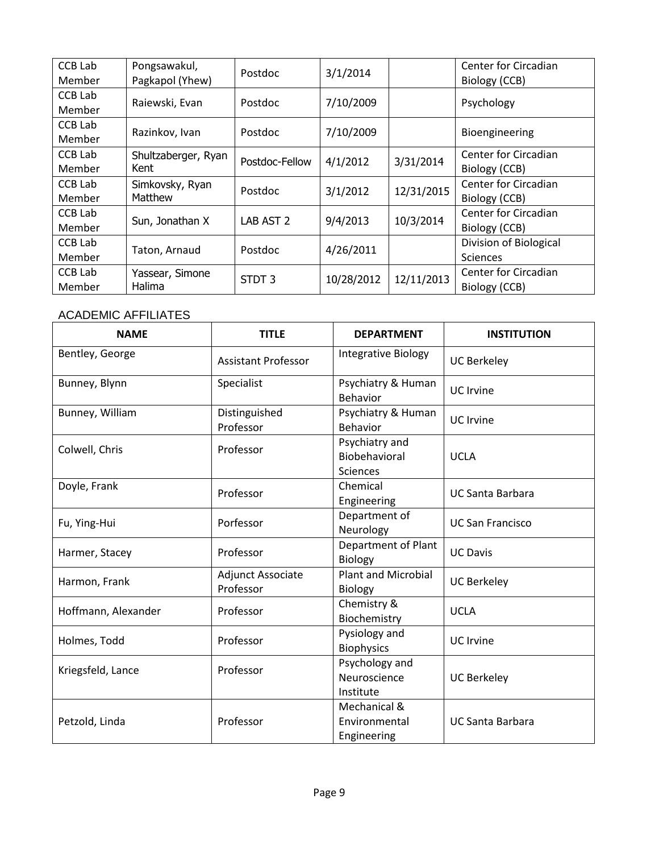| <b>CCB Lab</b><br>Member | Pongsawakul,<br>Pagkapol (Yhew) | <b>Postdoc</b>    | 3/1/2014   |            | <b>Center for Circadian</b><br>Biology (CCB) |
|--------------------------|---------------------------------|-------------------|------------|------------|----------------------------------------------|
| CCB Lab<br>Member        | Raiewski, Evan                  | Postdoc           | 7/10/2009  |            | Psychology                                   |
| CCB Lab<br>Member        | Razinkov, Ivan                  | <b>Postdoc</b>    | 7/10/2009  |            | Bioengineering                               |
| CCB Lab<br>Member        | Shultzaberger, Ryan<br>Kent     | Postdoc-Fellow    | 4/1/2012   | 3/31/2014  | <b>Center for Circadian</b><br>Biology (CCB) |
| CCB Lab<br>Member        | Simkovsky, Ryan<br>Matthew      | <b>Postdoc</b>    | 3/1/2012   | 12/31/2015 | <b>Center for Circadian</b><br>Biology (CCB) |
| CCB Lab<br>Member        | Sun, Jonathan X                 | LAB AST 2         | 9/4/2013   | 10/3/2014  | Center for Circadian<br>Biology (CCB)        |
| CCB Lab<br>Member        | Taton, Arnaud                   | Postdoc           | 4/26/2011  |            | Division of Biological<br><b>Sciences</b>    |
| CCB Lab<br>Member        | Yassear, Simone<br>Halima       | STDT <sub>3</sub> | 10/28/2012 | 12/11/2013 | Center for Circadian<br>Biology (CCB)        |

## ACADEMIC AFFILIATES

| <b>NAME</b>         | <b>TITLE</b>               | <b>DEPARTMENT</b>              | <b>INSTITUTION</b>      |  |
|---------------------|----------------------------|--------------------------------|-------------------------|--|
| Bentley, George     | <b>Assistant Professor</b> | Integrative Biology            | <b>UC Berkeley</b>      |  |
| Bunney, Blynn       | Specialist                 | Psychiatry & Human<br>Behavior | <b>UC</b> Irvine        |  |
| Bunney, William     | Distinguished              | Psychiatry & Human             |                         |  |
|                     | Professor                  | Behavior                       | <b>UC</b> Irvine        |  |
| Colwell, Chris      | Professor                  | Psychiatry and                 |                         |  |
|                     |                            | Biobehavioral                  | <b>UCLA</b>             |  |
|                     |                            | <b>Sciences</b>                |                         |  |
| Doyle, Frank        | Professor                  | Chemical                       | <b>UC Santa Barbara</b> |  |
|                     |                            | Engineering                    |                         |  |
| Fu, Ying-Hui        | Porfessor                  | Department of                  | <b>UC San Francisco</b> |  |
|                     |                            | Neurology                      |                         |  |
| Harmer, Stacey      | Professor                  | Department of Plant            | <b>UC Davis</b>         |  |
|                     |                            | <b>Biology</b>                 |                         |  |
| Harmon, Frank       | Adjunct Associate          | <b>Plant and Microbial</b>     | <b>UC Berkeley</b>      |  |
|                     | Professor                  | Biology                        |                         |  |
| Hoffmann, Alexander | Professor                  | Chemistry &                    | <b>UCLA</b>             |  |
|                     |                            | Biochemistry                   |                         |  |
| Holmes, Todd        | Professor                  | Pysiology and                  | <b>UC</b> Irvine        |  |
|                     |                            | <b>Biophysics</b>              |                         |  |
| Kriegsfeld, Lance   | Professor                  | Psychology and                 |                         |  |
|                     |                            | Neuroscience                   | <b>UC Berkeley</b>      |  |
|                     |                            | Institute                      |                         |  |
|                     |                            | Mechanical &                   |                         |  |
| Petzold, Linda      | Professor                  | Environmental                  | <b>UC Santa Barbara</b> |  |
|                     |                            | Engineering                    |                         |  |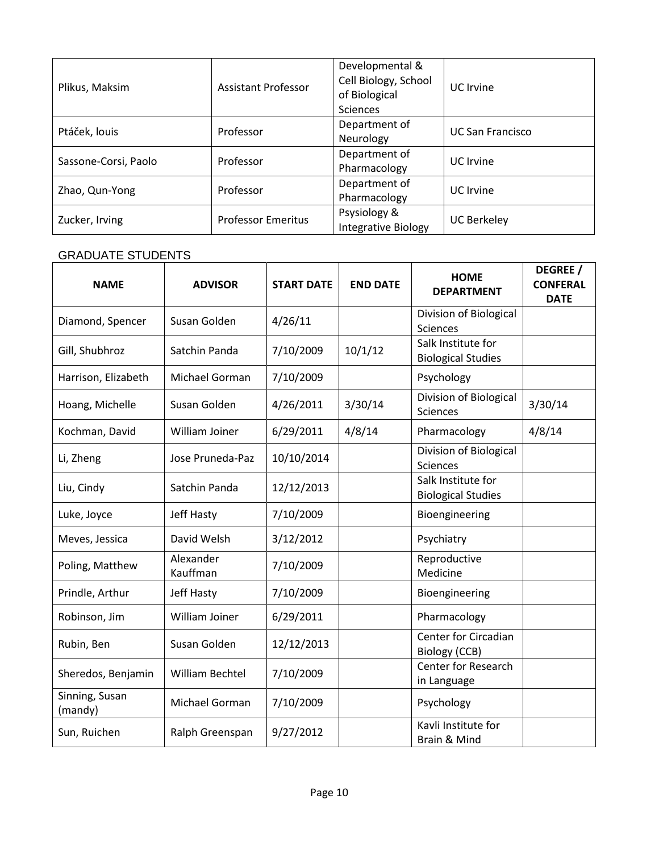| Plikus, Maksim             | <b>Assistant Professor</b> | Developmental &<br>Cell Biology, School<br>of Biological<br><b>Sciences</b> | UC Irvine               |
|----------------------------|----------------------------|-----------------------------------------------------------------------------|-------------------------|
| Professor<br>Ptáček, louis |                            | Department of<br>Neurology                                                  | <b>UC San Francisco</b> |
| Sassone-Corsi, Paolo       | Professor                  | Department of<br>Pharmacology                                               | UC Irvine               |
| Zhao, Qun-Yong             | Professor                  | Department of<br>Pharmacology                                               | UC Irvine               |
| Zucker, Irving             | <b>Professor Emeritus</b>  | Psysiology &<br><b>Integrative Biology</b>                                  | <b>UC Berkeley</b>      |

### GRADUATE STUDENTS

| <b>NAME</b>               | <b>ADVISOR</b>        | <b>START DATE</b> | <b>END DATE</b> | <b>HOME</b><br><b>DEPARTMENT</b>                | DEGREE /<br><b>CONFERAL</b><br><b>DATE</b> |
|---------------------------|-----------------------|-------------------|-----------------|-------------------------------------------------|--------------------------------------------|
| Diamond, Spencer          | Susan Golden          | 4/26/11           |                 | Division of Biological<br>Sciences              |                                            |
| Gill, Shubhroz            | Satchin Panda         | 7/10/2009         | 10/1/12         | Salk Institute for<br><b>Biological Studies</b> |                                            |
| Harrison, Elizabeth       | Michael Gorman        | 7/10/2009         |                 | Psychology                                      |                                            |
| Hoang, Michelle           | Susan Golden          | 4/26/2011         | 3/30/14         | Division of Biological<br>Sciences              | 3/30/14                                    |
| Kochman, David            | William Joiner        | 6/29/2011         | 4/8/14          | Pharmacology                                    | 4/8/14                                     |
| Li, Zheng                 | Jose Pruneda-Paz      | 10/10/2014        |                 | Division of Biological<br>Sciences              |                                            |
| Liu, Cindy                | Satchin Panda         | 12/12/2013        |                 | Salk Institute for<br><b>Biological Studies</b> |                                            |
| Luke, Joyce               | Jeff Hasty            | 7/10/2009         |                 | Bioengineering                                  |                                            |
| Meves, Jessica            | David Welsh           | 3/12/2012         |                 | Psychiatry                                      |                                            |
| Poling, Matthew           | Alexander<br>Kauffman | 7/10/2009         |                 | Reproductive<br>Medicine                        |                                            |
| Prindle, Arthur           | Jeff Hasty            | 7/10/2009         |                 | Bioengineering                                  |                                            |
| Robinson, Jim             | William Joiner        | 6/29/2011         |                 | Pharmacology                                    |                                            |
| Rubin, Ben                | Susan Golden          | 12/12/2013        |                 | Center for Circadian<br>Biology (CCB)           |                                            |
| Sheredos, Benjamin        | William Bechtel       | 7/10/2009         |                 | Center for Research<br>in Language              |                                            |
| Sinning, Susan<br>(mandy) | Michael Gorman        | 7/10/2009         |                 | Psychology                                      |                                            |
| Sun, Ruichen              | Ralph Greenspan       | 9/27/2012         |                 | Kavli Institute for<br>Brain & Mind             |                                            |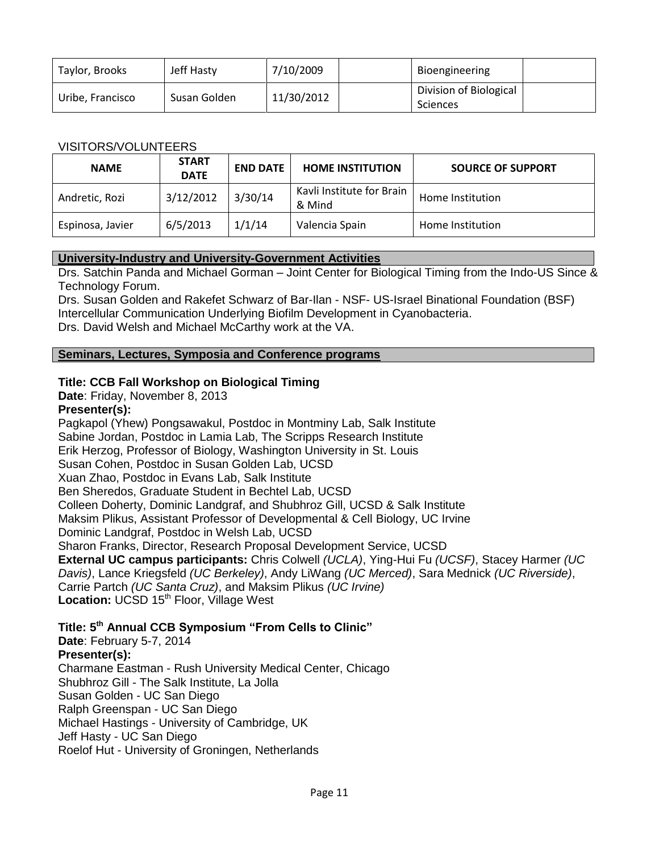| Taylor, Brooks   | Jeff Hasty   | 7/10/2009  | Bioengineering                            |  |
|------------------|--------------|------------|-------------------------------------------|--|
| Uribe, Francisco | Susan Golden | 11/30/2012 | Division of Biological<br><b>Sciences</b> |  |

### VISITORS/VOLUNTEERS

| <b>NAME</b>      | <b>START</b><br><b>DATE</b> | <b>END DATE</b> | <b>HOME INSTITUTION</b>             | <b>SOURCE OF SUPPORT</b> |
|------------------|-----------------------------|-----------------|-------------------------------------|--------------------------|
| Andretic, Rozi   | 3/12/2012                   | 3/30/14         | Kavli Institute for Brain<br>& Mind | Home Institution         |
| Espinosa, Javier | 6/5/2013                    | 1/1/14          | Valencia Spain                      | Home Institution         |

### **University-Industry and University-Government Activities**

Drs. Satchin Panda and Michael Gorman – Joint Center for Biological Timing from the Indo-US Since & Technology Forum.

Drs. Susan Golden and Rakefet Schwarz of Bar-Ilan - NSF- US-Israel Binational Foundation (BSF) Intercellular Communication Underlying Biofilm Development in Cyanobacteria. Drs. David Welsh and Michael McCarthy work at the VA.

### **Seminars, Lectures, Symposia and Conference programs**

## **Title: CCB Fall Workshop on Biological Timing**

**Date**: Friday, November 8, 2013

### **Presenter(s):**

Pagkapol (Yhew) Pongsawakul, Postdoc in Montminy Lab, Salk Institute Sabine Jordan, Postdoc in Lamia Lab, The Scripps Research Institute Erik Herzog, Professor of Biology, Washington University in St. Louis Susan Cohen, Postdoc in Susan Golden Lab, UCSD Xuan Zhao, Postdoc in Evans Lab, Salk Institute Ben Sheredos, Graduate Student in Bechtel Lab, UCSD Colleen Doherty, Dominic Landgraf, and Shubhroz Gill, UCSD & Salk Institute Maksim Plikus, Assistant Professor of Developmental & Cell Biology, UC Irvine Dominic Landgraf, Postdoc in Welsh Lab, UCSD Sharon Franks, Director, Research Proposal Development Service, UCSD **External UC campus participants:** Chris Colwell *(UCLA)*, Ying-Hui Fu *(UCSF)*, Stacey Harmer *(UC Davis)*, Lance Kriegsfeld *(UC Berkeley)*, Andy LiWang *(UC Merced)*, Sara Mednick *(UC Riverside)*, Carrie Partch *(UC Santa Cruz)*, and Maksim Plikus *(UC Irvine)* **Location: UCSD 15<sup>th</sup> Floor, Village West** 

## **Title: 5 th Annual CCB Symposium "From Cells to Clinic"**

**Date**: February 5-7, 2014 **Presenter(s):** Charmane Eastman - Rush University Medical Center, Chicago Shubhroz Gill - The Salk Institute, La Jolla Susan Golden - UC San Diego Ralph Greenspan - UC San Diego Michael Hastings - University of Cambridge, UK Jeff Hasty - UC San Diego Roelof Hut - University of Groningen, Netherlands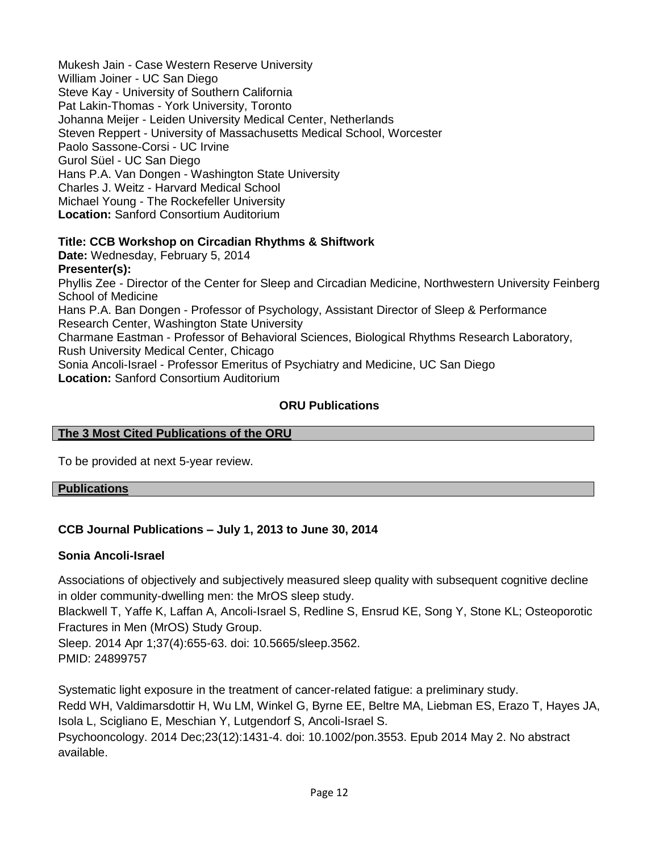Mukesh Jain - Case Western Reserve University William Joiner - UC San Diego Steve Kay - University of Southern California Pat Lakin-Thomas - York University, Toronto Johanna Meijer - Leiden University Medical Center, Netherlands Steven Reppert - University of Massachusetts Medical School, Worcester Paolo Sassone-Corsi - UC Irvine Gurol Süel - UC San Diego Hans P.A. Van Dongen - Washington State University Charles J. Weitz - Harvard Medical School Michael Young - The Rockefeller University **Location:** Sanford Consortium Auditorium

## **Title: CCB Workshop on Circadian Rhythms & Shiftwork**

**Date:** Wednesday, February 5, 2014 **Presenter(s):** 

Phyllis Zee - Director of the Center for Sleep and Circadian Medicine, Northwestern University Feinberg School of Medicine Hans P.A. Ban Dongen - Professor of Psychology, Assistant Director of Sleep & Performance

Research Center, Washington State University Charmane Eastman - Professor of Behavioral Sciences, Biological Rhythms Research Laboratory, Rush University Medical Center, Chicago

Sonia Ancoli-Israel - Professor Emeritus of Psychiatry and Medicine, UC San Diego **Location:** Sanford Consortium Auditorium

## **ORU Publications**

### **The 3 Most Cited Publications of the ORU**

To be provided at next 5-year review.

### **Publications**

## **CCB Journal Publications – July 1, 2013 to June 30, 2014**

### **Sonia Ancoli-Israel**

Associations of objectively and subjectively measured sleep quality with subsequent cognitive decline in older community-dwelling men: the MrOS sleep study.

Blackwell T, Yaffe K, Laffan A, Ancoli-Israel S, Redline S, Ensrud KE, Song Y, Stone KL; Osteoporotic Fractures in Men (MrOS) Study Group.

Sleep. 2014 Apr 1;37(4):655-63. doi: 10.5665/sleep.3562. PMID: 24899757

Systematic light exposure in the treatment of cancer-related fatigue: a preliminary study. Redd WH, Valdimarsdottir H, Wu LM, Winkel G, Byrne EE, Beltre MA, Liebman ES, Erazo T, Hayes JA, Isola L, Scigliano E, Meschian Y, Lutgendorf S, Ancoli-Israel S. Psychooncology. 2014 Dec;23(12):1431-4. doi: 10.1002/pon.3553. Epub 2014 May 2. No abstract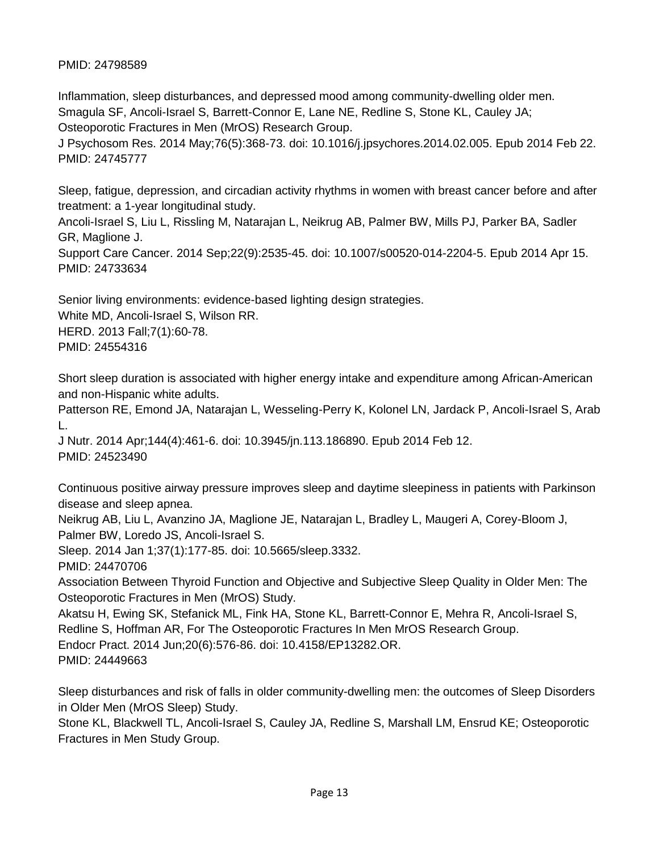## PMID: 24798589

Inflammation, sleep disturbances, and depressed mood among community-dwelling older men. Smagula SF, Ancoli-Israel S, Barrett-Connor E, Lane NE, Redline S, Stone KL, Cauley JA; Osteoporotic Fractures in Men (MrOS) Research Group. J Psychosom Res. 2014 May;76(5):368-73. doi: 10.1016/j.jpsychores.2014.02.005. Epub 2014 Feb 22.

PMID: 24745777

Sleep, fatigue, depression, and circadian activity rhythms in women with breast cancer before and after treatment: a 1-year longitudinal study.

Ancoli-Israel S, Liu L, Rissling M, Natarajan L, Neikrug AB, Palmer BW, Mills PJ, Parker BA, Sadler GR, Maglione J.

Support Care Cancer. 2014 Sep;22(9):2535-45. doi: 10.1007/s00520-014-2204-5. Epub 2014 Apr 15. PMID: 24733634

Senior living environments: evidence-based lighting design strategies. White MD, Ancoli-Israel S, Wilson RR. HERD. 2013 Fall;7(1):60-78. PMID: 24554316

Short sleep duration is associated with higher energy intake and expenditure among African-American and non-Hispanic white adults.

Patterson RE, Emond JA, Natarajan L, Wesseling-Perry K, Kolonel LN, Jardack P, Ancoli-Israel S, Arab L.

J Nutr. 2014 Apr;144(4):461-6. doi: 10.3945/jn.113.186890. Epub 2014 Feb 12. PMID: 24523490

Continuous positive airway pressure improves sleep and daytime sleepiness in patients with Parkinson disease and sleep apnea.

Neikrug AB, Liu L, Avanzino JA, Maglione JE, Natarajan L, Bradley L, Maugeri A, Corey-Bloom J, Palmer BW, Loredo JS, Ancoli-Israel S.

Sleep. 2014 Jan 1;37(1):177-85. doi: 10.5665/sleep.3332.

PMID: 24470706

Association Between Thyroid Function and Objective and Subjective Sleep Quality in Older Men: The Osteoporotic Fractures in Men (MrOS) Study.

Akatsu H, Ewing SK, Stefanick ML, Fink HA, Stone KL, Barrett-Connor E, Mehra R, Ancoli-Israel S, Redline S, Hoffman AR, For The Osteoporotic Fractures In Men MrOS Research Group. Endocr Pract. 2014 Jun;20(6):576-86. doi: 10.4158/EP13282.OR. PMID: 24449663

Sleep disturbances and risk of falls in older community-dwelling men: the outcomes of Sleep Disorders in Older Men (MrOS Sleep) Study.

Stone KL, Blackwell TL, Ancoli-Israel S, Cauley JA, Redline S, Marshall LM, Ensrud KE; Osteoporotic Fractures in Men Study Group.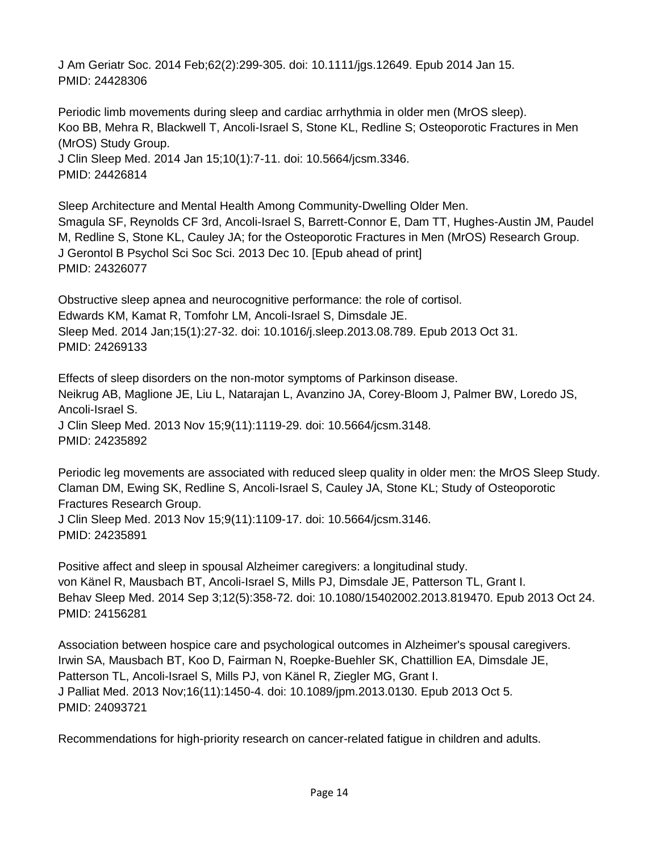J Am Geriatr Soc. 2014 Feb;62(2):299-305. doi: 10.1111/jgs.12649. Epub 2014 Jan 15. PMID: 24428306

Periodic limb movements during sleep and cardiac arrhythmia in older men (MrOS sleep). Koo BB, Mehra R, Blackwell T, Ancoli-Israel S, Stone KL, Redline S; Osteoporotic Fractures in Men (MrOS) Study Group. J Clin Sleep Med. 2014 Jan 15;10(1):7-11. doi: 10.5664/jcsm.3346. PMID: 24426814

Sleep Architecture and Mental Health Among Community-Dwelling Older Men. Smagula SF, Reynolds CF 3rd, Ancoli-Israel S, Barrett-Connor E, Dam TT, Hughes-Austin JM, Paudel M, Redline S, Stone KL, Cauley JA; for the Osteoporotic Fractures in Men (MrOS) Research Group. J Gerontol B Psychol Sci Soc Sci. 2013 Dec 10. [Epub ahead of print] PMID: 24326077

Obstructive sleep apnea and neurocognitive performance: the role of cortisol. Edwards KM, Kamat R, Tomfohr LM, Ancoli-Israel S, Dimsdale JE. Sleep Med. 2014 Jan;15(1):27-32. doi: 10.1016/j.sleep.2013.08.789. Epub 2013 Oct 31. PMID: 24269133

Effects of sleep disorders on the non-motor symptoms of Parkinson disease. Neikrug AB, Maglione JE, Liu L, Natarajan L, Avanzino JA, Corey-Bloom J, Palmer BW, Loredo JS, Ancoli-Israel S. J Clin Sleep Med. 2013 Nov 15;9(11):1119-29. doi: 10.5664/jcsm.3148. PMID: 24235892

Periodic leg movements are associated with reduced sleep quality in older men: the MrOS Sleep Study. Claman DM, Ewing SK, Redline S, Ancoli-Israel S, Cauley JA, Stone KL; Study of Osteoporotic Fractures Research Group. J Clin Sleep Med. 2013 Nov 15;9(11):1109-17. doi: 10.5664/jcsm.3146. PMID: 24235891

Positive affect and sleep in spousal Alzheimer caregivers: a longitudinal study. von Känel R, Mausbach BT, Ancoli-Israel S, Mills PJ, Dimsdale JE, Patterson TL, Grant I. Behav Sleep Med. 2014 Sep 3;12(5):358-72. doi: 10.1080/15402002.2013.819470. Epub 2013 Oct 24. PMID: 24156281

Association between hospice care and psychological outcomes in Alzheimer's spousal caregivers. Irwin SA, Mausbach BT, Koo D, Fairman N, Roepke-Buehler SK, Chattillion EA, Dimsdale JE, Patterson TL, Ancoli-Israel S, Mills PJ, von Känel R, Ziegler MG, Grant I. J Palliat Med. 2013 Nov;16(11):1450-4. doi: 10.1089/jpm.2013.0130. Epub 2013 Oct 5. PMID: 24093721

Recommendations for high-priority research on cancer-related fatigue in children and adults.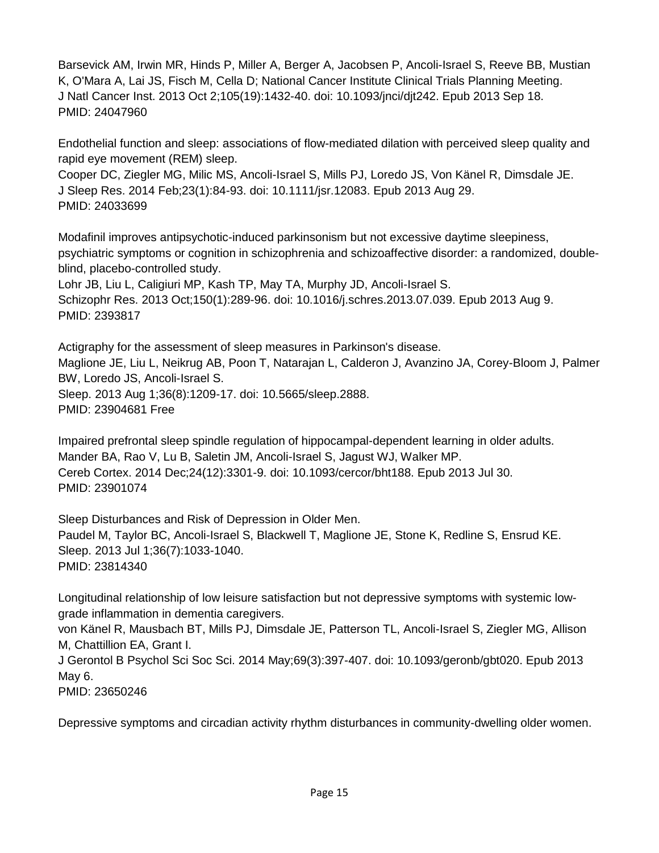Barsevick AM, Irwin MR, Hinds P, Miller A, Berger A, Jacobsen P, Ancoli-Israel S, Reeve BB, Mustian K, O'Mara A, Lai JS, Fisch M, Cella D; National Cancer Institute Clinical Trials Planning Meeting. J Natl Cancer Inst. 2013 Oct 2;105(19):1432-40. doi: 10.1093/jnci/djt242. Epub 2013 Sep 18. PMID: 24047960

Endothelial function and sleep: associations of flow-mediated dilation with perceived sleep quality and rapid eye movement (REM) sleep.

Cooper DC, Ziegler MG, Milic MS, Ancoli-Israel S, Mills PJ, Loredo JS, Von Känel R, Dimsdale JE. J Sleep Res. 2014 Feb;23(1):84-93. doi: 10.1111/jsr.12083. Epub 2013 Aug 29. PMID: 24033699

Modafinil improves antipsychotic-induced parkinsonism but not excessive daytime sleepiness, psychiatric symptoms or cognition in schizophrenia and schizoaffective disorder: a randomized, doubleblind, placebo-controlled study.

Lohr JB, Liu L, Caligiuri MP, Kash TP, May TA, Murphy JD, Ancoli-Israel S. Schizophr Res. 2013 Oct;150(1):289-96. doi: 10.1016/j.schres.2013.07.039. Epub 2013 Aug 9. PMID: 2393817

Actigraphy for the assessment of sleep measures in Parkinson's disease. Maglione JE, Liu L, Neikrug AB, Poon T, Natarajan L, Calderon J, Avanzino JA, Corey-Bloom J, Palmer BW, Loredo JS, Ancoli-Israel S. Sleep. 2013 Aug 1;36(8):1209-17. doi: 10.5665/sleep.2888. PMID: 23904681 Free

Impaired prefrontal sleep spindle regulation of hippocampal-dependent learning in older adults. Mander BA, Rao V, Lu B, Saletin JM, Ancoli-Israel S, Jagust WJ, Walker MP. Cereb Cortex. 2014 Dec;24(12):3301-9. doi: 10.1093/cercor/bht188. Epub 2013 Jul 30. PMID: 23901074

Sleep Disturbances and Risk of Depression in Older Men. Paudel M, Taylor BC, Ancoli-Israel S, Blackwell T, Maglione JE, Stone K, Redline S, Ensrud KE. Sleep. 2013 Jul 1;36(7):1033-1040. PMID: 23814340

Longitudinal relationship of low leisure satisfaction but not depressive symptoms with systemic lowgrade inflammation in dementia caregivers.

von Känel R, Mausbach BT, Mills PJ, Dimsdale JE, Patterson TL, Ancoli-Israel S, Ziegler MG, Allison M, Chattillion EA, Grant I.

J Gerontol B Psychol Sci Soc Sci. 2014 May;69(3):397-407. doi: 10.1093/geronb/gbt020. Epub 2013 May 6.

PMID: 23650246

Depressive symptoms and circadian activity rhythm disturbances in community-dwelling older women.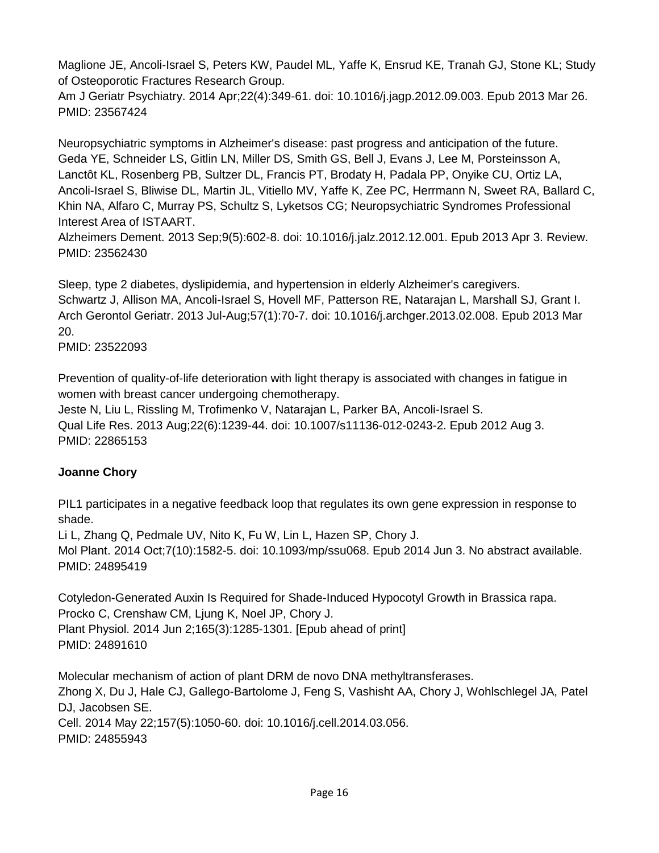Maglione JE, Ancoli-Israel S, Peters KW, Paudel ML, Yaffe K, Ensrud KE, Tranah GJ, Stone KL; Study of Osteoporotic Fractures Research Group.

Am J Geriatr Psychiatry. 2014 Apr;22(4):349-61. doi: 10.1016/j.jagp.2012.09.003. Epub 2013 Mar 26. PMID: 23567424

Neuropsychiatric symptoms in Alzheimer's disease: past progress and anticipation of the future. Geda YE, Schneider LS, Gitlin LN, Miller DS, Smith GS, Bell J, Evans J, Lee M, Porsteinsson A, Lanctôt KL, Rosenberg PB, Sultzer DL, Francis PT, Brodaty H, Padala PP, Onyike CU, Ortiz LA, Ancoli-Israel S, Bliwise DL, Martin JL, Vitiello MV, Yaffe K, Zee PC, Herrmann N, Sweet RA, Ballard C, Khin NA, Alfaro C, Murray PS, Schultz S, Lyketsos CG; Neuropsychiatric Syndromes Professional Interest Area of ISTAART.

Alzheimers Dement. 2013 Sep;9(5):602-8. doi: 10.1016/j.jalz.2012.12.001. Epub 2013 Apr 3. Review. PMID: 23562430

Sleep, type 2 diabetes, dyslipidemia, and hypertension in elderly Alzheimer's caregivers. Schwartz J, Allison MA, Ancoli-Israel S, Hovell MF, Patterson RE, Natarajan L, Marshall SJ, Grant I. Arch Gerontol Geriatr. 2013 Jul-Aug;57(1):70-7. doi: 10.1016/j.archger.2013.02.008. Epub 2013 Mar 20.

PMID: 23522093

Prevention of quality-of-life deterioration with light therapy is associated with changes in fatigue in women with breast cancer undergoing chemotherapy.

Jeste N, Liu L, Rissling M, Trofimenko V, Natarajan L, Parker BA, Ancoli-Israel S. Qual Life Res. 2013 Aug;22(6):1239-44. doi: 10.1007/s11136-012-0243-2. Epub 2012 Aug 3. PMID: 22865153

## **Joanne Chory**

PIL1 participates in a negative feedback loop that regulates its own gene expression in response to shade.

Li L, Zhang Q, Pedmale UV, Nito K, Fu W, Lin L, Hazen SP, Chory J. Mol Plant. 2014 Oct;7(10):1582-5. doi: 10.1093/mp/ssu068. Epub 2014 Jun 3. No abstract available. PMID: 24895419

Cotyledon-Generated Auxin Is Required for Shade-Induced Hypocotyl Growth in Brassica rapa. Procko C, Crenshaw CM, Ljung K, Noel JP, Chory J. Plant Physiol. 2014 Jun 2;165(3):1285-1301. [Epub ahead of print] PMID: 24891610

Molecular mechanism of action of plant DRM de novo DNA methyltransferases. Zhong X, Du J, Hale CJ, Gallego-Bartolome J, Feng S, Vashisht AA, Chory J, Wohlschlegel JA, Patel DJ, Jacobsen SE. Cell. 2014 May 22;157(5):1050-60. doi: 10.1016/j.cell.2014.03.056. PMID: 24855943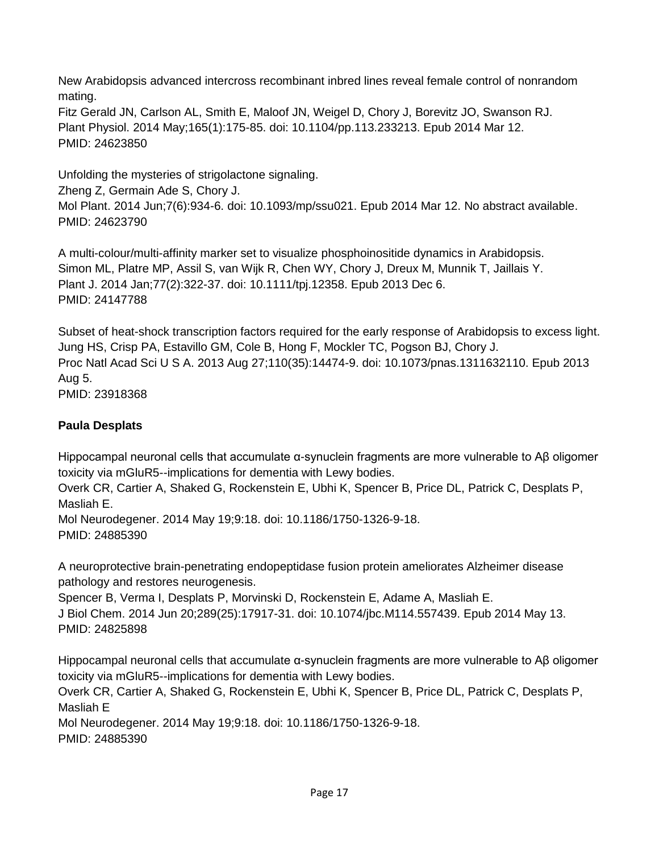New Arabidopsis advanced intercross recombinant inbred lines reveal female control of nonrandom mating.

Fitz Gerald JN, Carlson AL, Smith E, Maloof JN, Weigel D, Chory J, Borevitz JO, Swanson RJ. Plant Physiol. 2014 May;165(1):175-85. doi: 10.1104/pp.113.233213. Epub 2014 Mar 12. PMID: 24623850

Unfolding the mysteries of strigolactone signaling. Zheng Z, Germain Ade S, Chory J. Mol Plant. 2014 Jun;7(6):934-6. doi: 10.1093/mp/ssu021. Epub 2014 Mar 12. No abstract available. PMID: 24623790

A multi-colour/multi-affinity marker set to visualize phosphoinositide dynamics in Arabidopsis. Simon ML, Platre MP, Assil S, van Wijk R, Chen WY, Chory J, Dreux M, Munnik T, Jaillais Y. Plant J. 2014 Jan;77(2):322-37. doi: 10.1111/tpj.12358. Epub 2013 Dec 6. PMID: 24147788

Subset of heat-shock transcription factors required for the early response of Arabidopsis to excess light. Jung HS, Crisp PA, Estavillo GM, Cole B, Hong F, Mockler TC, Pogson BJ, Chory J. Proc Natl Acad Sci U S A. 2013 Aug 27;110(35):14474-9. doi: 10.1073/pnas.1311632110. Epub 2013 Aug 5. PMID: 23918368

# **Paula Desplats**

Hippocampal neuronal cells that accumulate α-synuclein fragments are more vulnerable to Aβ oligomer toxicity via mGluR5--implications for dementia with Lewy bodies.

Overk CR, Cartier A, Shaked G, Rockenstein E, Ubhi K, Spencer B, Price DL, Patrick C, Desplats P, Masliah E.

Mol Neurodegener. 2014 May 19;9:18. doi: 10.1186/1750-1326-9-18. PMID: 24885390

A neuroprotective brain-penetrating endopeptidase fusion protein ameliorates Alzheimer disease pathology and restores neurogenesis.

Spencer B, Verma I, Desplats P, Morvinski D, Rockenstein E, Adame A, Masliah E. J Biol Chem. 2014 Jun 20;289(25):17917-31. doi: 10.1074/jbc.M114.557439. Epub 2014 May 13. PMID: 24825898

Hippocampal neuronal cells that accumulate α-synuclein fragments are more vulnerable to Aβ oligomer toxicity via mGluR5--implications for dementia with Lewy bodies.

Overk CR, Cartier A, Shaked G, Rockenstein E, Ubhi K, Spencer B, Price DL, Patrick C, Desplats P, Masliah E

Mol Neurodegener. 2014 May 19;9:18. doi: 10.1186/1750-1326-9-18. PMID: 24885390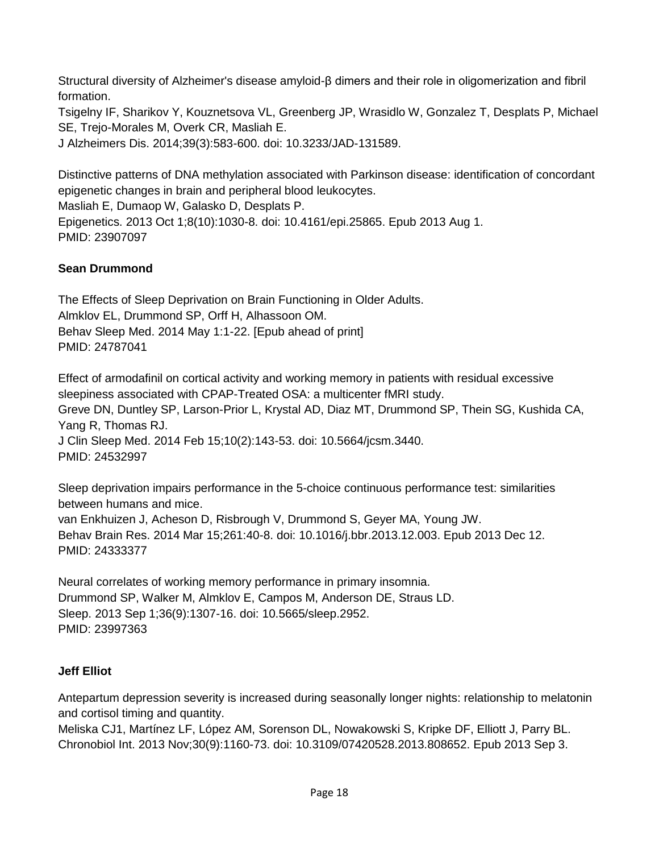Structural diversity of Alzheimer's disease amyloid-β dimers and their role in oligomerization and fibril formation.

Tsigelny IF, Sharikov Y, Kouznetsova VL, Greenberg JP, Wrasidlo W, Gonzalez T, Desplats P, Michael SE, Trejo-Morales M, Overk CR, Masliah E.

J Alzheimers Dis. 2014;39(3):583-600. doi: 10.3233/JAD-131589.

Distinctive patterns of DNA methylation associated with Parkinson disease: identification of concordant epigenetic changes in brain and peripheral blood leukocytes. Masliah E, Dumaop W, Galasko D, Desplats P. Epigenetics. 2013 Oct 1;8(10):1030-8. doi: 10.4161/epi.25865. Epub 2013 Aug 1. PMID: 23907097

## **Sean Drummond**

The Effects of Sleep Deprivation on Brain Functioning in Older Adults. Almklov EL, Drummond SP, Orff H, Alhassoon OM. Behav Sleep Med. 2014 May 1:1-22. [Epub ahead of print] PMID: 24787041

Effect of armodafinil on cortical activity and working memory in patients with residual excessive sleepiness associated with CPAP-Treated OSA: a multicenter fMRI study. Greve DN, Duntley SP, Larson-Prior L, Krystal AD, Diaz MT, Drummond SP, Thein SG, Kushida CA, Yang R, Thomas RJ. J Clin Sleep Med. 2014 Feb 15;10(2):143-53. doi: 10.5664/jcsm.3440. PMID: 24532997

Sleep deprivation impairs performance in the 5-choice continuous performance test: similarities between humans and mice. van Enkhuizen J, Acheson D, Risbrough V, Drummond S, Geyer MA, Young JW. Behav Brain Res. 2014 Mar 15;261:40-8. doi: 10.1016/j.bbr.2013.12.003. Epub 2013 Dec 12. PMID: 24333377

Neural correlates of working memory performance in primary insomnia. Drummond SP, Walker M, Almklov E, Campos M, Anderson DE, Straus LD. Sleep. 2013 Sep 1;36(9):1307-16. doi: 10.5665/sleep.2952. PMID: 23997363

## **Jeff Elliot**

Antepartum depression severity is increased during seasonally longer nights: relationship to melatonin and cortisol timing and quantity.

Meliska CJ1, Martínez LF, López AM, Sorenson DL, Nowakowski S, Kripke DF, Elliott J, Parry BL. Chronobiol Int. 2013 Nov;30(9):1160-73. doi: 10.3109/07420528.2013.808652. Epub 2013 Sep 3.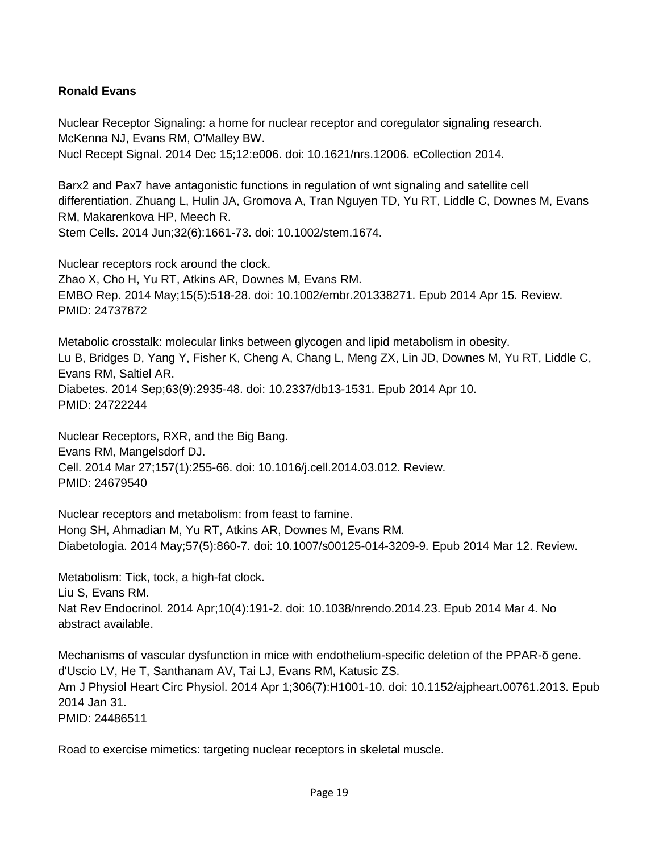## **Ronald Evans**

Nuclear Receptor Signaling: a home for nuclear receptor and coregulator signaling research. McKenna NJ, Evans RM, O'Malley BW. Nucl Recept Signal. 2014 Dec 15;12:e006. doi: 10.1621/nrs.12006. eCollection 2014.

Barx2 and Pax7 have antagonistic functions in regulation of wnt signaling and satellite cell differentiation. Zhuang L, Hulin JA, Gromova A, Tran Nguyen TD, Yu RT, Liddle C, Downes M, Evans RM, Makarenkova HP, Meech R. Stem Cells. 2014 Jun;32(6):1661-73. doi: 10.1002/stem.1674.

Nuclear receptors rock around the clock. Zhao X, Cho H, Yu RT, Atkins AR, Downes M, Evans RM. EMBO Rep. 2014 May;15(5):518-28. doi: 10.1002/embr.201338271. Epub 2014 Apr 15. Review. PMID: 24737872

Metabolic crosstalk: molecular links between glycogen and lipid metabolism in obesity. Lu B, Bridges D, Yang Y, Fisher K, Cheng A, Chang L, Meng ZX, Lin JD, Downes M, Yu RT, Liddle C, Evans RM, Saltiel AR. Diabetes. 2014 Sep;63(9):2935-48. doi: 10.2337/db13-1531. Epub 2014 Apr 10. PMID: 24722244

Nuclear Receptors, RXR, and the Big Bang. Evans RM, Mangelsdorf DJ. Cell. 2014 Mar 27;157(1):255-66. doi: 10.1016/j.cell.2014.03.012. Review. PMID: 24679540

Nuclear receptors and metabolism: from feast to famine. Hong SH, Ahmadian M, Yu RT, Atkins AR, Downes M, Evans RM. Diabetologia. 2014 May;57(5):860-7. doi: 10.1007/s00125-014-3209-9. Epub 2014 Mar 12. Review.

Metabolism: Tick, tock, a high-fat clock. Liu S, Evans RM. Nat Rev Endocrinol. 2014 Apr;10(4):191-2. doi: 10.1038/nrendo.2014.23. Epub 2014 Mar 4. No abstract available.

Mechanisms of vascular dysfunction in mice with endothelium-specific deletion of the PPAR-δ gene. d'Uscio LV, He T, Santhanam AV, Tai LJ, Evans RM, Katusic ZS. Am J Physiol Heart Circ Physiol. 2014 Apr 1;306(7):H1001-10. doi: 10.1152/ajpheart.00761.2013. Epub 2014 Jan 31. PMID: 24486511

Road to exercise mimetics: targeting nuclear receptors in skeletal muscle.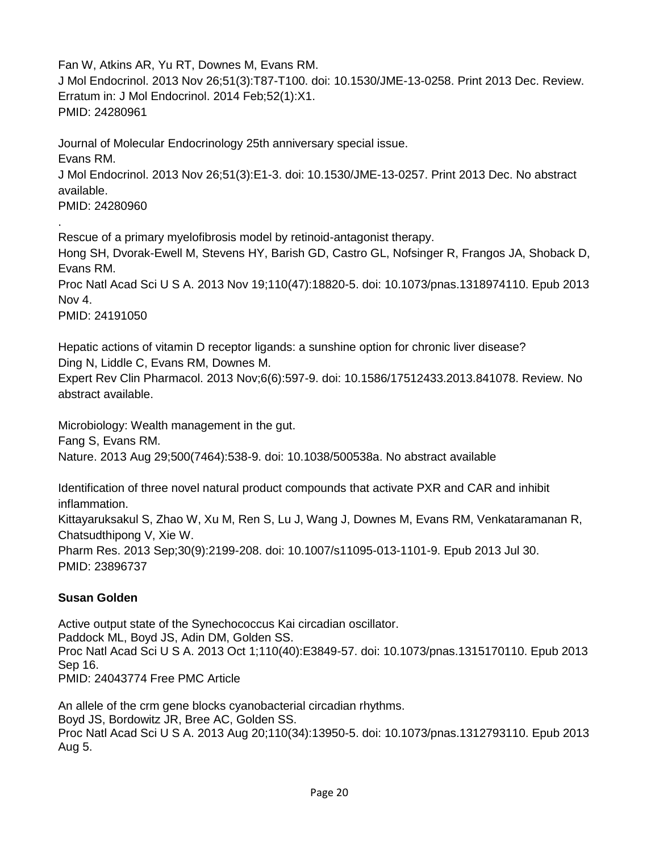Fan W, Atkins AR, Yu RT, Downes M, Evans RM. J Mol Endocrinol. 2013 Nov 26;51(3):T87-T100. doi: 10.1530/JME-13-0258. Print 2013 Dec. Review. Erratum in: J Mol Endocrinol. 2014 Feb;52(1):X1. PMID: 24280961

Journal of Molecular Endocrinology 25th anniversary special issue. Evans RM. J Mol Endocrinol. 2013 Nov 26;51(3):E1-3. doi: 10.1530/JME-13-0257. Print 2013 Dec. No abstract available. PMID: 24280960

Rescue of a primary myelofibrosis model by retinoid-antagonist therapy. Hong SH, Dvorak-Ewell M, Stevens HY, Barish GD, Castro GL, Nofsinger R, Frangos JA, Shoback D, Evans RM. Proc Natl Acad Sci U S A. 2013 Nov 19;110(47):18820-5. doi: 10.1073/pnas.1318974110. Epub 2013 Nov 4.

PMID: 24191050

.

Hepatic actions of vitamin D receptor ligands: a sunshine option for chronic liver disease? Ding N, Liddle C, Evans RM, Downes M.

Expert Rev Clin Pharmacol. 2013 Nov;6(6):597-9. doi: 10.1586/17512433.2013.841078. Review. No abstract available.

Microbiology: Wealth management in the gut. Fang S, Evans RM. Nature. 2013 Aug 29;500(7464):538-9. doi: 10.1038/500538a. No abstract available

Identification of three novel natural product compounds that activate PXR and CAR and inhibit inflammation. Kittayaruksakul S, Zhao W, Xu M, Ren S, Lu J, Wang J, Downes M, Evans RM, Venkataramanan R, Chatsudthipong V, Xie W. Pharm Res. 2013 Sep;30(9):2199-208. doi: 10.1007/s11095-013-1101-9. Epub 2013 Jul 30. PMID: 23896737

## **Susan Golden**

Active output state of the Synechococcus Kai circadian oscillator. Paddock ML, Boyd JS, Adin DM, Golden SS. Proc Natl Acad Sci U S A. 2013 Oct 1;110(40):E3849-57. doi: 10.1073/pnas.1315170110. Epub 2013 Sep 16. PMID: 24043774 Free PMC Article

An allele of the crm gene blocks cyanobacterial circadian rhythms. Boyd JS, Bordowitz JR, Bree AC, Golden SS. Proc Natl Acad Sci U S A. 2013 Aug 20;110(34):13950-5. doi: 10.1073/pnas.1312793110. Epub 2013 Aug 5.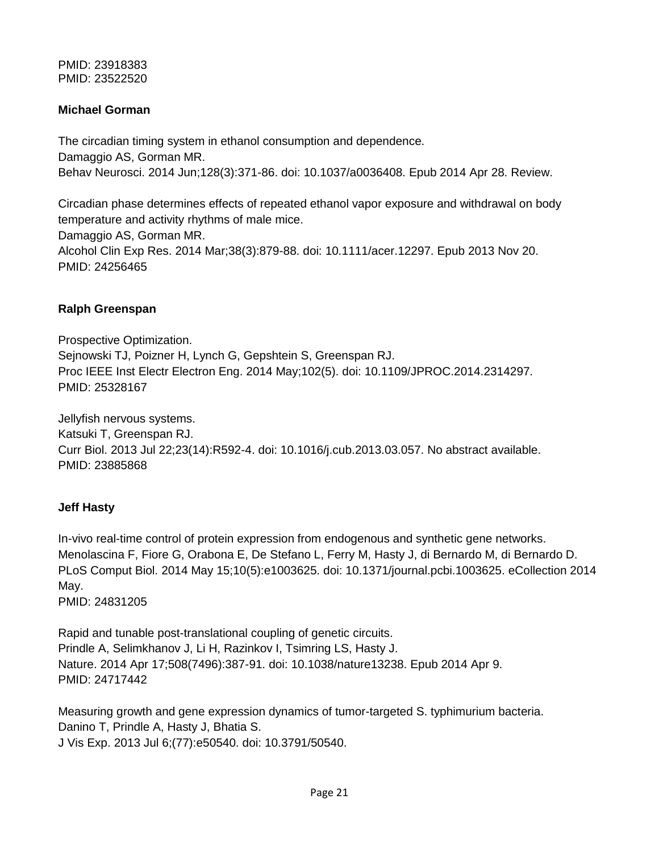PMID: 23918383 PMID: 23522520

### **Michael Gorman**

The circadian timing system in ethanol consumption and dependence. Damaggio AS, Gorman MR. Behav Neurosci. 2014 Jun;128(3):371-86. doi: 10.1037/a0036408. Epub 2014 Apr 28. Review.

Circadian phase determines effects of repeated ethanol vapor exposure and withdrawal on body temperature and activity rhythms of male mice.

Damaggio AS, Gorman MR. Alcohol Clin Exp Res. 2014 Mar;38(3):879-88. doi: 10.1111/acer.12297. Epub 2013 Nov 20. PMID: 24256465

#### **Ralph Greenspan**

Prospective Optimization. Sejnowski TJ, Poizner H, Lynch G, Gepshtein S, Greenspan RJ. Proc IEEE Inst Electr Electron Eng. 2014 May;102(5). doi: 10.1109/JPROC.2014.2314297. PMID: 25328167

Jellyfish nervous systems. Katsuki T, Greenspan RJ. Curr Biol. 2013 Jul 22;23(14):R592-4. doi: 10.1016/j.cub.2013.03.057. No abstract available. PMID: 23885868

### **Jeff Hasty**

In-vivo real-time control of protein expression from endogenous and synthetic gene networks. Menolascina F, Fiore G, Orabona E, De Stefano L, Ferry M, Hasty J, di Bernardo M, di Bernardo D. PLoS Comput Biol. 2014 May 15;10(5):e1003625. doi: 10.1371/journal.pcbi.1003625. eCollection 2014 May. PMID: 24831205

Rapid and tunable post-translational coupling of genetic circuits. Prindle A, Selimkhanov J, Li H, Razinkov I, Tsimring LS, Hasty J. Nature. 2014 Apr 17;508(7496):387-91. doi: 10.1038/nature13238. Epub 2014 Apr 9. PMID: 24717442

Measuring growth and gene expression dynamics of tumor-targeted S. typhimurium bacteria. Danino T, Prindle A, Hasty J, Bhatia S. J Vis Exp. 2013 Jul 6;(77):e50540. doi: 10.3791/50540.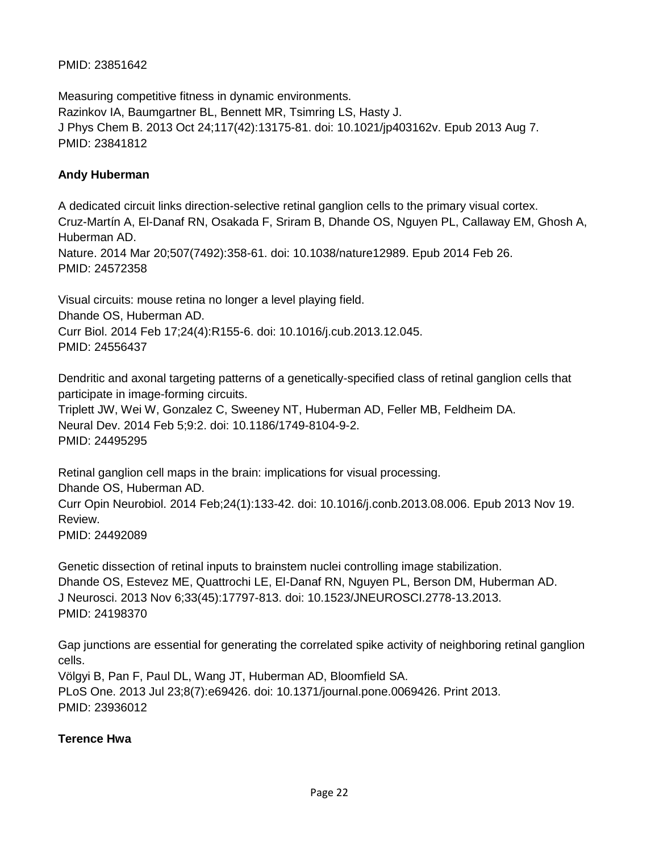## PMID: 23851642

Measuring competitive fitness in dynamic environments. Razinkov IA, Baumgartner BL, Bennett MR, Tsimring LS, Hasty J. J Phys Chem B. 2013 Oct 24;117(42):13175-81. doi: 10.1021/jp403162v. Epub 2013 Aug 7. PMID: 23841812

### **Andy Huberman**

A dedicated circuit links direction-selective retinal ganglion cells to the primary visual cortex. Cruz-Martín A, El-Danaf RN, Osakada F, Sriram B, Dhande OS, Nguyen PL, Callaway EM, Ghosh A, Huberman AD. Nature. 2014 Mar 20;507(7492):358-61. doi: 10.1038/nature12989. Epub 2014 Feb 26. PMID: 24572358

Visual circuits: mouse retina no longer a level playing field. Dhande OS, Huberman AD. Curr Biol. 2014 Feb 17;24(4):R155-6. doi: 10.1016/j.cub.2013.12.045. PMID: 24556437

Dendritic and axonal targeting patterns of a genetically-specified class of retinal ganglion cells that participate in image-forming circuits. Triplett JW, Wei W, Gonzalez C, Sweeney NT, Huberman AD, Feller MB, Feldheim DA.

Neural Dev. 2014 Feb 5;9:2. doi: 10.1186/1749-8104-9-2. PMID: 24495295

Retinal ganglion cell maps in the brain: implications for visual processing. Dhande OS, Huberman AD. Curr Opin Neurobiol. 2014 Feb;24(1):133-42. doi: 10.1016/j.conb.2013.08.006. Epub 2013 Nov 19. Review. PMID: 24492089

Genetic dissection of retinal inputs to brainstem nuclei controlling image stabilization. Dhande OS, Estevez ME, Quattrochi LE, El-Danaf RN, Nguyen PL, Berson DM, Huberman AD. J Neurosci. 2013 Nov 6;33(45):17797-813. doi: 10.1523/JNEUROSCI.2778-13.2013. PMID: 24198370

Gap junctions are essential for generating the correlated spike activity of neighboring retinal ganglion cells.

Völgyi B, Pan F, Paul DL, Wang JT, Huberman AD, Bloomfield SA. PLoS One. 2013 Jul 23;8(7):e69426. doi: 10.1371/journal.pone.0069426. Print 2013. PMID: 23936012

## **Terence Hwa**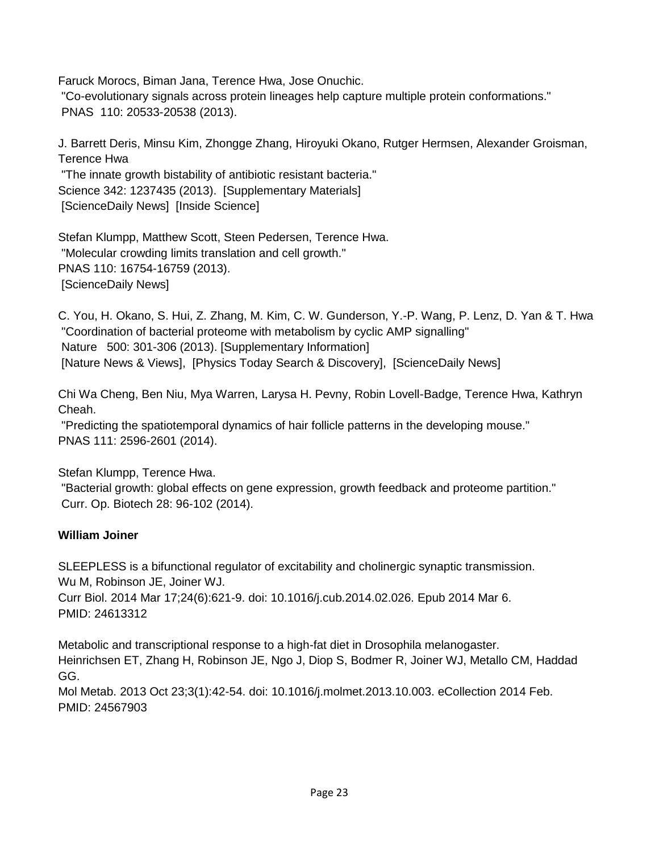Faruck Morocs, Biman Jana, Terence Hwa, Jose Onuchic.

"Co-evolutionary signals across protein lineages help capture multiple protein conformations." PNAS 110: 20533-20538 (2013).

J. Barrett Deris, Minsu Kim, Zhongge Zhang, Hiroyuki Okano, Rutger Hermsen, Alexander Groisman, Terence Hwa

"The innate growth bistability of antibiotic resistant bacteria." Science 342: 1237435 (2013). [Supplementary Materials] [ScienceDaily News] [Inside Science]

Stefan Klumpp, Matthew Scott, Steen Pedersen, Terence Hwa. "Molecular crowding limits translation and cell growth." PNAS 110: 16754-16759 (2013). [ScienceDaily News]

C. You, H. Okano, S. Hui, Z. Zhang, M. Kim, C. W. Gunderson, Y.-P. Wang, P. Lenz, D. Yan & T. Hwa "Coordination of bacterial proteome with metabolism by cyclic AMP signalling" Nature 500: 301-306 (2013). [Supplementary Information] [Nature News & Views], [Physics Today Search & Discovery], [ScienceDaily News]

Chi Wa Cheng, Ben Niu, Mya Warren, Larysa H. Pevny, Robin Lovell-Badge, Terence Hwa, Kathryn Cheah.

"Predicting the spatiotemporal dynamics of hair follicle patterns in the developing mouse." PNAS 111: 2596-2601 (2014).

Stefan Klumpp, Terence Hwa.

"Bacterial growth: global effects on gene expression, growth feedback and proteome partition." Curr. Op. Biotech 28: 96-102 (2014).

## **William Joiner**

SLEEPLESS is a bifunctional regulator of excitability and cholinergic synaptic transmission. Wu M, Robinson JE, Joiner WJ. Curr Biol. 2014 Mar 17;24(6):621-9. doi: 10.1016/j.cub.2014.02.026. Epub 2014 Mar 6. PMID: 24613312

Metabolic and transcriptional response to a high-fat diet in Drosophila melanogaster. Heinrichsen ET, Zhang H, Robinson JE, Ngo J, Diop S, Bodmer R, Joiner WJ, Metallo CM, Haddad GG.

Mol Metab. 2013 Oct 23;3(1):42-54. doi: 10.1016/j.molmet.2013.10.003. eCollection 2014 Feb. PMID: 24567903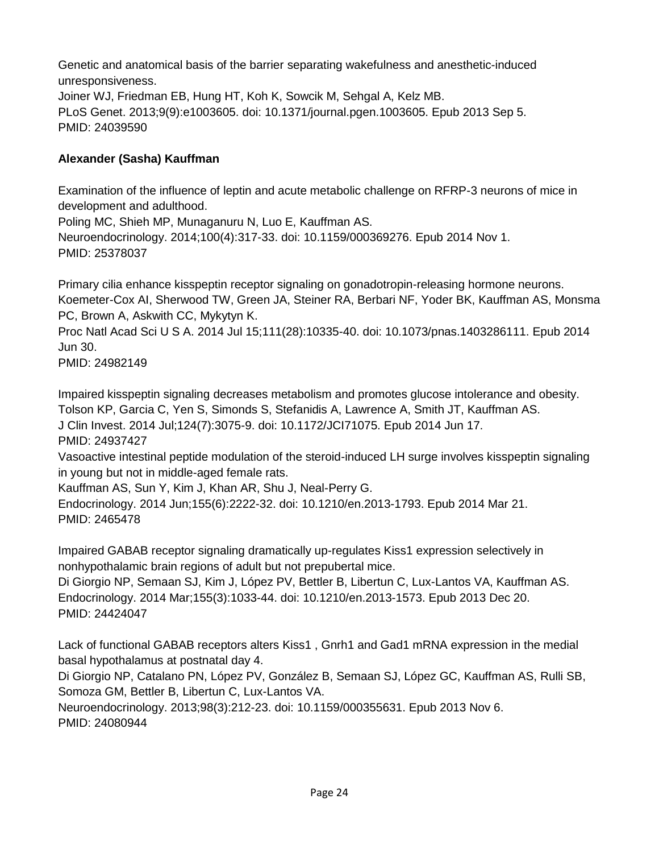Genetic and anatomical basis of the barrier separating wakefulness and anesthetic-induced unresponsiveness. Joiner WJ, Friedman EB, Hung HT, Koh K, Sowcik M, Sehgal A, Kelz MB. PLoS Genet. 2013;9(9):e1003605. doi: 10.1371/journal.pgen.1003605. Epub 2013 Sep 5. PMID: 24039590

## **Alexander (Sasha) Kauffman**

Examination of the influence of leptin and acute metabolic challenge on RFRP-3 neurons of mice in development and adulthood.

Poling MC, Shieh MP, Munaganuru N, Luo E, Kauffman AS. Neuroendocrinology. 2014;100(4):317-33. doi: 10.1159/000369276. Epub 2014 Nov 1. PMID: 25378037

Primary cilia enhance kisspeptin receptor signaling on gonadotropin-releasing hormone neurons. Koemeter-Cox AI, Sherwood TW, Green JA, Steiner RA, Berbari NF, Yoder BK, Kauffman AS, Monsma PC, Brown A, Askwith CC, Mykytyn K.

Proc Natl Acad Sci U S A. 2014 Jul 15;111(28):10335-40. doi: 10.1073/pnas.1403286111. Epub 2014 Jun 30.

PMID: 24982149

Impaired kisspeptin signaling decreases metabolism and promotes glucose intolerance and obesity. Tolson KP, Garcia C, Yen S, Simonds S, Stefanidis A, Lawrence A, Smith JT, Kauffman AS. J Clin Invest. 2014 Jul;124(7):3075-9. doi: 10.1172/JCI71075. Epub 2014 Jun 17. PMID: 24937427

Vasoactive intestinal peptide modulation of the steroid-induced LH surge involves kisspeptin signaling in young but not in middle-aged female rats.

Kauffman AS, Sun Y, Kim J, Khan AR, Shu J, Neal-Perry G.

Endocrinology. 2014 Jun;155(6):2222-32. doi: 10.1210/en.2013-1793. Epub 2014 Mar 21. PMID: 2465478

Impaired GABAB receptor signaling dramatically up-regulates Kiss1 expression selectively in nonhypothalamic brain regions of adult but not prepubertal mice.

Di Giorgio NP, Semaan SJ, Kim J, López PV, Bettler B, Libertun C, Lux-Lantos VA, Kauffman AS. Endocrinology. 2014 Mar;155(3):1033-44. doi: 10.1210/en.2013-1573. Epub 2013 Dec 20. PMID: 24424047

Lack of functional GABAB receptors alters Kiss1 , Gnrh1 and Gad1 mRNA expression in the medial basal hypothalamus at postnatal day 4.

Di Giorgio NP, Catalano PN, López PV, González B, Semaan SJ, López GC, Kauffman AS, Rulli SB, Somoza GM, Bettler B, Libertun C, Lux-Lantos VA.

Neuroendocrinology. 2013;98(3):212-23. doi: 10.1159/000355631. Epub 2013 Nov 6. PMID: 24080944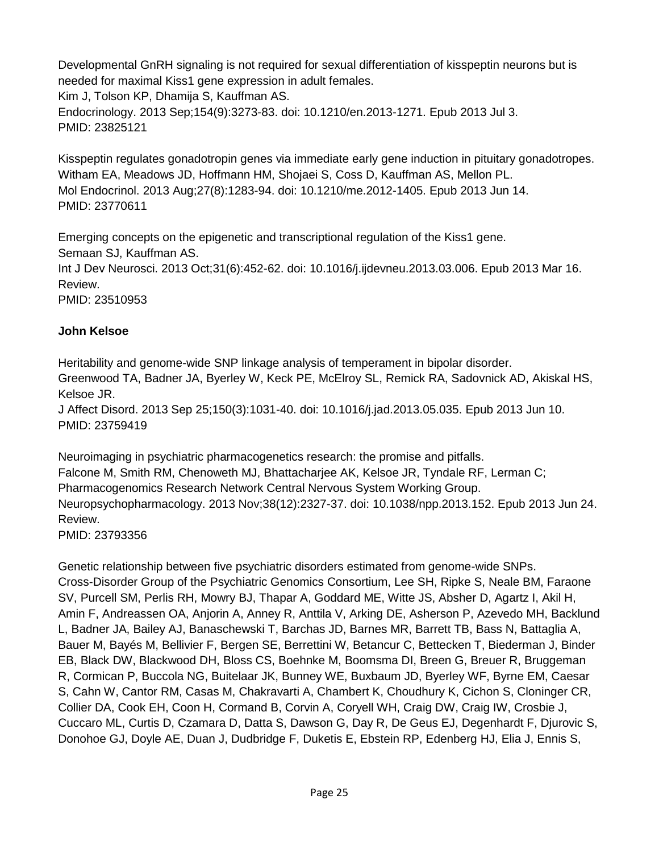Developmental GnRH signaling is not required for sexual differentiation of kisspeptin neurons but is needed for maximal Kiss1 gene expression in adult females.

Kim J, Tolson KP, Dhamija S, Kauffman AS.

Endocrinology. 2013 Sep;154(9):3273-83. doi: 10.1210/en.2013-1271. Epub 2013 Jul 3. PMID: 23825121

Kisspeptin regulates gonadotropin genes via immediate early gene induction in pituitary gonadotropes. Witham EA, Meadows JD, Hoffmann HM, Shojaei S, Coss D, Kauffman AS, Mellon PL. Mol Endocrinol. 2013 Aug;27(8):1283-94. doi: 10.1210/me.2012-1405. Epub 2013 Jun 14. PMID: 23770611

Emerging concepts on the epigenetic and transcriptional regulation of the Kiss1 gene. Semaan SJ, Kauffman AS.

Int J Dev Neurosci. 2013 Oct;31(6):452-62. doi: 10.1016/j.ijdevneu.2013.03.006. Epub 2013 Mar 16. Review.

PMID: 23510953

## **John Kelsoe**

Heritability and genome-wide SNP linkage analysis of temperament in bipolar disorder. Greenwood TA, Badner JA, Byerley W, Keck PE, McElroy SL, Remick RA, Sadovnick AD, Akiskal HS, Kelsoe JR. J Affect Disord. 2013 Sep 25;150(3):1031-40. doi: 10.1016/j.jad.2013.05.035. Epub 2013 Jun 10.

PMID: 23759419

Neuroimaging in psychiatric pharmacogenetics research: the promise and pitfalls. Falcone M, Smith RM, Chenoweth MJ, Bhattacharjee AK, Kelsoe JR, Tyndale RF, Lerman C; Pharmacogenomics Research Network Central Nervous System Working Group. Neuropsychopharmacology. 2013 Nov;38(12):2327-37. doi: 10.1038/npp.2013.152. Epub 2013 Jun 24. Review.

PMID: 23793356

Genetic relationship between five psychiatric disorders estimated from genome-wide SNPs. Cross-Disorder Group of the Psychiatric Genomics Consortium, Lee SH, Ripke S, Neale BM, Faraone SV, Purcell SM, Perlis RH, Mowry BJ, Thapar A, Goddard ME, Witte JS, Absher D, Agartz I, Akil H, Amin F, Andreassen OA, Anjorin A, Anney R, Anttila V, Arking DE, Asherson P, Azevedo MH, Backlund L, Badner JA, Bailey AJ, Banaschewski T, Barchas JD, Barnes MR, Barrett TB, Bass N, Battaglia A, Bauer M, Bayés M, Bellivier F, Bergen SE, Berrettini W, Betancur C, Bettecken T, Biederman J, Binder EB, Black DW, Blackwood DH, Bloss CS, Boehnke M, Boomsma DI, Breen G, Breuer R, Bruggeman R, Cormican P, Buccola NG, Buitelaar JK, Bunney WE, Buxbaum JD, Byerley WF, Byrne EM, Caesar S, Cahn W, Cantor RM, Casas M, Chakravarti A, Chambert K, Choudhury K, Cichon S, Cloninger CR, Collier DA, Cook EH, Coon H, Cormand B, Corvin A, Coryell WH, Craig DW, Craig IW, Crosbie J, Cuccaro ML, Curtis D, Czamara D, Datta S, Dawson G, Day R, De Geus EJ, Degenhardt F, Djurovic S, Donohoe GJ, Doyle AE, Duan J, Dudbridge F, Duketis E, Ebstein RP, Edenberg HJ, Elia J, Ennis S,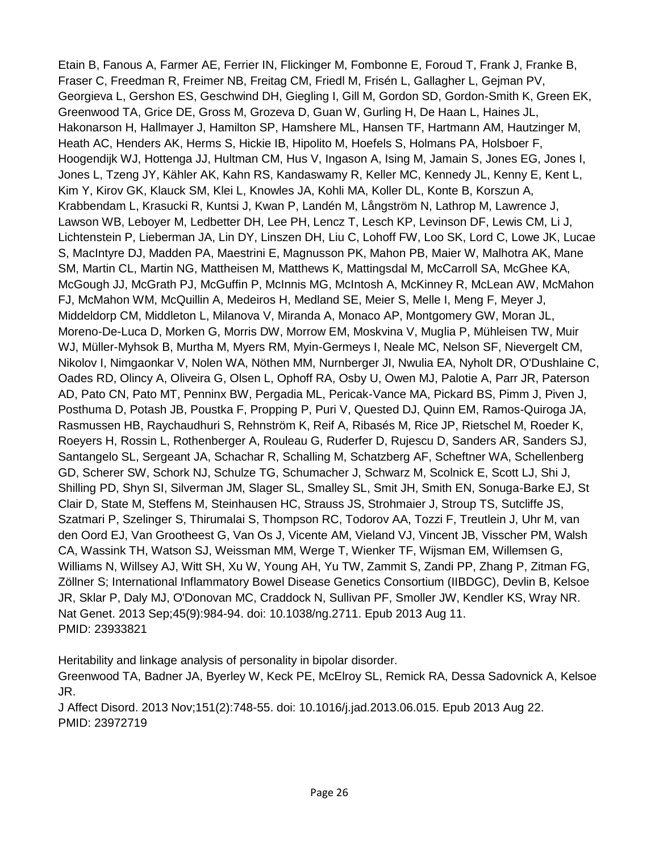Etain B, Fanous A, Farmer AE, Ferrier IN, Flickinger M, Fombonne E, Foroud T, Frank J, Franke B, Fraser C, Freedman R, Freimer NB, Freitag CM, Friedl M, Frisén L, Gallagher L, Gejman PV, Georgieva L, Gershon ES, Geschwind DH, Giegling I, Gill M, Gordon SD, Gordon-Smith K, Green EK, Greenwood TA, Grice DE, Gross M, Grozeva D, Guan W, Gurling H, De Haan L, Haines JL, Hakonarson H, Hallmayer J, Hamilton SP, Hamshere ML, Hansen TF, Hartmann AM, Hautzinger M, Heath AC, Henders AK, Herms S, Hickie IB, Hipolito M, Hoefels S, Holmans PA, Holsboer F, Hoogendijk WJ, Hottenga JJ, Hultman CM, Hus V, Ingason A, Ising M, Jamain S, Jones EG, Jones I, Jones L, Tzeng JY, Kähler AK, Kahn RS, Kandaswamy R, Keller MC, Kennedy JL, Kenny E, Kent L, Kim Y, Kirov GK, Klauck SM, Klei L, Knowles JA, Kohli MA, Koller DL, Konte B, Korszun A, Krabbendam L, Krasucki R, Kuntsi J, Kwan P, Landén M, Långström N, Lathrop M, Lawrence J, Lawson WB, Leboyer M, Ledbetter DH, Lee PH, Lencz T, Lesch KP, Levinson DF, Lewis CM, Li J, Lichtenstein P, Lieberman JA, Lin DY, Linszen DH, Liu C, Lohoff FW, Loo SK, Lord C, Lowe JK, Lucae S, MacIntyre DJ, Madden PA, Maestrini E, Magnusson PK, Mahon PB, Maier W, Malhotra AK, Mane SM, Martin CL, Martin NG, Mattheisen M, Matthews K, Mattingsdal M, McCarroll SA, McGhee KA, McGough JJ, McGrath PJ, McGuffin P, McInnis MG, McIntosh A, McKinney R, McLean AW, McMahon FJ, McMahon WM, McQuillin A, Medeiros H, Medland SE, Meier S, Melle I, Meng F, Meyer J, Middeldorp CM, Middleton L, Milanova V, Miranda A, Monaco AP, Montgomery GW, Moran JL, Moreno-De-Luca D, Morken G, Morris DW, Morrow EM, Moskvina V, Muglia P, Mühleisen TW, Muir WJ, Müller-Myhsok B, Murtha M, Myers RM, Myin-Germeys I, Neale MC, Nelson SF, Nievergelt CM, Nikolov I, Nimgaonkar V, Nolen WA, Nöthen MM, Nurnberger JI, Nwulia EA, Nyholt DR, O'Dushlaine C, Oades RD, Olincy A, Oliveira G, Olsen L, Ophoff RA, Osby U, Owen MJ, Palotie A, Parr JR, Paterson AD, Pato CN, Pato MT, Penninx BW, Pergadia ML, Pericak-Vance MA, Pickard BS, Pimm J, Piven J, Posthuma D, Potash JB, Poustka F, Propping P, Puri V, Quested DJ, Quinn EM, Ramos-Quiroga JA, Rasmussen HB, Raychaudhuri S, Rehnström K, Reif A, Ribasés M, Rice JP, Rietschel M, Roeder K, Roeyers H, Rossin L, Rothenberger A, Rouleau G, Ruderfer D, Rujescu D, Sanders AR, Sanders SJ, Santangelo SL, Sergeant JA, Schachar R, Schalling M, Schatzberg AF, Scheftner WA, Schellenberg GD, Scherer SW, Schork NJ, Schulze TG, Schumacher J, Schwarz M, Scolnick E, Scott LJ, Shi J, Shilling PD, Shyn SI, Silverman JM, Slager SL, Smalley SL, Smit JH, Smith EN, Sonuga-Barke EJ, St Clair D, State M, Steffens M, Steinhausen HC, Strauss JS, Strohmaier J, Stroup TS, Sutcliffe JS, Szatmari P, Szelinger S, Thirumalai S, Thompson RC, Todorov AA, Tozzi F, Treutlein J, Uhr M, van den Oord EJ, Van Grootheest G, Van Os J, Vicente AM, Vieland VJ, Vincent JB, Visscher PM, Walsh CA, Wassink TH, Watson SJ, Weissman MM, Werge T, Wienker TF, Wijsman EM, Willemsen G, Williams N, Willsey AJ, Witt SH, Xu W, Young AH, Yu TW, Zammit S, Zandi PP, Zhang P, Zitman FG, Zöllner S; International Inflammatory Bowel Disease Genetics Consortium (IIBDGC), Devlin B, Kelsoe JR, Sklar P, Daly MJ, O'Donovan MC, Craddock N, Sullivan PF, Smoller JW, Kendler KS, Wray NR. Nat Genet. 2013 Sep;45(9):984-94. doi: 10.1038/ng.2711. Epub 2013 Aug 11. PMID: 23933821

Heritability and linkage analysis of personality in bipolar disorder.

Greenwood TA, Badner JA, Byerley W, Keck PE, McElroy SL, Remick RA, Dessa Sadovnick A, Kelsoe JR.

J Affect Disord. 2013 Nov;151(2):748-55. doi: 10.1016/j.jad.2013.06.015. Epub 2013 Aug 22. PMID: 23972719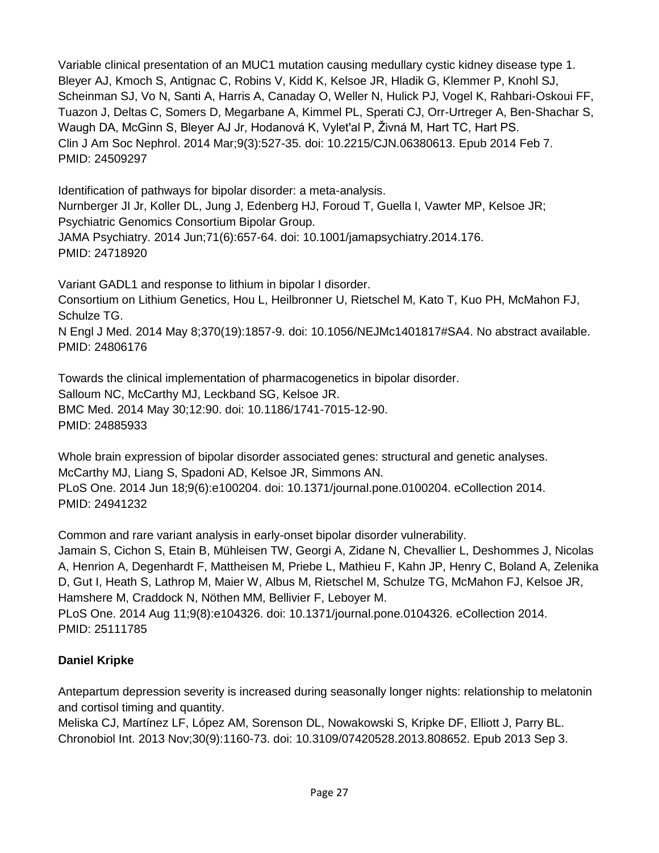Variable clinical presentation of an MUC1 mutation causing medullary cystic kidney disease type 1. Bleyer AJ, Kmoch S, Antignac C, Robins V, Kidd K, Kelsoe JR, Hladik G, Klemmer P, Knohl SJ, Scheinman SJ, Vo N, Santi A, Harris A, Canaday O, Weller N, Hulick PJ, Vogel K, Rahbari-Oskoui FF, Tuazon J, Deltas C, Somers D, Megarbane A, Kimmel PL, Sperati CJ, Orr-Urtreger A, Ben-Shachar S, Waugh DA, McGinn S, Bleyer AJ Jr, Hodanová K, Vylet'al P, Živná M, Hart TC, Hart PS. Clin J Am Soc Nephrol. 2014 Mar;9(3):527-35. doi: 10.2215/CJN.06380613. Epub 2014 Feb 7. PMID: 24509297

Identification of pathways for bipolar disorder: a meta-analysis. Nurnberger JI Jr, Koller DL, Jung J, Edenberg HJ, Foroud T, Guella I, Vawter MP, Kelsoe JR; Psychiatric Genomics Consortium Bipolar Group. JAMA Psychiatry. 2014 Jun;71(6):657-64. doi: 10.1001/jamapsychiatry.2014.176. PMID: 24718920

Variant GADL1 and response to lithium in bipolar I disorder. Consortium on Lithium Genetics, Hou L, Heilbronner U, Rietschel M, Kato T, Kuo PH, McMahon FJ, Schulze TG. N Engl J Med. 2014 May 8;370(19):1857-9. doi: 10.1056/NEJMc1401817#SA4. No abstract available. PMID: 24806176

Towards the clinical implementation of pharmacogenetics in bipolar disorder. Salloum NC, McCarthy MJ, Leckband SG, Kelsoe JR. BMC Med. 2014 May 30;12:90. doi: 10.1186/1741-7015-12-90. PMID: 24885933

Whole brain expression of bipolar disorder associated genes: structural and genetic analyses. McCarthy MJ, Liang S, Spadoni AD, Kelsoe JR, Simmons AN. PLoS One. 2014 Jun 18;9(6):e100204. doi: 10.1371/journal.pone.0100204. eCollection 2014. PMID: 24941232

Common and rare variant analysis in early-onset bipolar disorder vulnerability.

Jamain S, Cichon S, Etain B, Mühleisen TW, Georgi A, Zidane N, Chevallier L, Deshommes J, Nicolas A, Henrion A, Degenhardt F, Mattheisen M, Priebe L, Mathieu F, Kahn JP, Henry C, Boland A, Zelenika D, Gut I, Heath S, Lathrop M, Maier W, Albus M, Rietschel M, Schulze TG, McMahon FJ, Kelsoe JR, Hamshere M, Craddock N, Nöthen MM, Bellivier F, Leboyer M.

PLoS One. 2014 Aug 11;9(8):e104326. doi: 10.1371/journal.pone.0104326. eCollection 2014. PMID: 25111785

# **Daniel Kripke**

Antepartum depression severity is increased during seasonally longer nights: relationship to melatonin and cortisol timing and quantity.

Meliska CJ, Martínez LF, López AM, Sorenson DL, Nowakowski S, Kripke DF, Elliott J, Parry BL. Chronobiol Int. 2013 Nov;30(9):1160-73. doi: 10.3109/07420528.2013.808652. Epub 2013 Sep 3.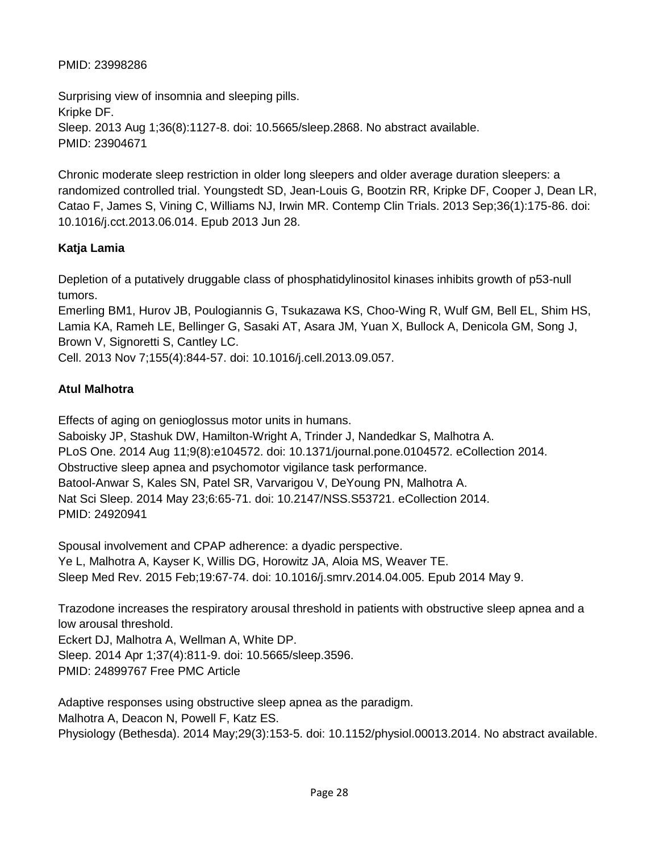## PMID: 23998286

Surprising view of insomnia and sleeping pills. Kripke DF. Sleep. 2013 Aug 1;36(8):1127-8. doi: 10.5665/sleep.2868. No abstract available. PMID: 23904671

Chronic moderate sleep restriction in older long sleepers and older average duration sleepers: a randomized controlled trial. Youngstedt SD, Jean-Louis G, Bootzin RR, Kripke DF, Cooper J, Dean LR, Catao F, James S, Vining C, Williams NJ, Irwin MR. Contemp Clin Trials. 2013 Sep;36(1):175-86. doi: 10.1016/j.cct.2013.06.014. Epub 2013 Jun 28.

## **Katja Lamia**

Depletion of a putatively druggable class of phosphatidylinositol kinases inhibits growth of p53-null tumors.

Emerling BM1, Hurov JB, Poulogiannis G, Tsukazawa KS, Choo-Wing R, Wulf GM, Bell EL, Shim HS, Lamia KA, Rameh LE, Bellinger G, Sasaki AT, Asara JM, Yuan X, Bullock A, Denicola GM, Song J, Brown V, Signoretti S, Cantley LC.

Cell. 2013 Nov 7;155(4):844-57. doi: 10.1016/j.cell.2013.09.057.

# **Atul Malhotra**

Effects of aging on genioglossus motor units in humans.

Saboisky JP, Stashuk DW, Hamilton-Wright A, Trinder J, Nandedkar S, Malhotra A. PLoS One. 2014 Aug 11;9(8):e104572. doi: 10.1371/journal.pone.0104572. eCollection 2014. Obstructive sleep apnea and psychomotor vigilance task performance. Batool-Anwar S, Kales SN, Patel SR, Varvarigou V, DeYoung PN, Malhotra A. Nat Sci Sleep. 2014 May 23;6:65-71. doi: 10.2147/NSS.S53721. eCollection 2014. PMID: 24920941

Spousal involvement and CPAP adherence: a dyadic perspective. Ye L, Malhotra A, Kayser K, Willis DG, Horowitz JA, Aloia MS, Weaver TE. Sleep Med Rev. 2015 Feb;19:67-74. doi: 10.1016/j.smrv.2014.04.005. Epub 2014 May 9.

Trazodone increases the respiratory arousal threshold in patients with obstructive sleep apnea and a low arousal threshold.

Eckert DJ, Malhotra A, Wellman A, White DP. Sleep. 2014 Apr 1;37(4):811-9. doi: 10.5665/sleep.3596. PMID: 24899767 Free PMC Article

Adaptive responses using obstructive sleep apnea as the paradigm. Malhotra A, Deacon N, Powell F, Katz ES. Physiology (Bethesda). 2014 May;29(3):153-5. doi: 10.1152/physiol.00013.2014. No abstract available.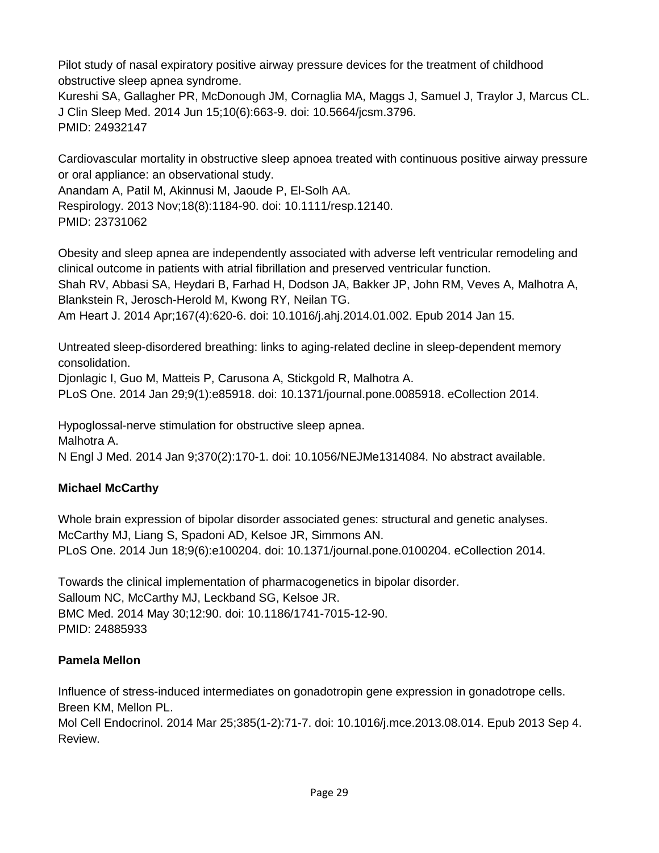Pilot study of nasal expiratory positive airway pressure devices for the treatment of childhood obstructive sleep apnea syndrome.

Kureshi SA, Gallagher PR, McDonough JM, Cornaglia MA, Maggs J, Samuel J, Traylor J, Marcus CL. J Clin Sleep Med. 2014 Jun 15;10(6):663-9. doi: 10.5664/jcsm.3796. PMID: 24932147

Cardiovascular mortality in obstructive sleep apnoea treated with continuous positive airway pressure or oral appliance: an observational study.

Anandam A, Patil M, Akinnusi M, Jaoude P, El-Solh AA.

Respirology. 2013 Nov;18(8):1184-90. doi: 10.1111/resp.12140.

PMID: 23731062

Obesity and sleep apnea are independently associated with adverse left ventricular remodeling and clinical outcome in patients with atrial fibrillation and preserved ventricular function.

Shah RV, Abbasi SA, Heydari B, Farhad H, Dodson JA, Bakker JP, John RM, Veves A, Malhotra A, Blankstein R, Jerosch-Herold M, Kwong RY, Neilan TG.

Am Heart J. 2014 Apr;167(4):620-6. doi: 10.1016/j.ahj.2014.01.002. Epub 2014 Jan 15.

Untreated sleep-disordered breathing: links to aging-related decline in sleep-dependent memory consolidation.

Djonlagic I, Guo M, Matteis P, Carusona A, Stickgold R, Malhotra A.

PLoS One. 2014 Jan 29;9(1):e85918. doi: 10.1371/journal.pone.0085918. eCollection 2014.

Hypoglossal-nerve stimulation for obstructive sleep apnea. Malhotra A. N Engl J Med. 2014 Jan 9;370(2):170-1. doi: 10.1056/NEJMe1314084. No abstract available.

## **Michael McCarthy**

Whole brain expression of bipolar disorder associated genes: structural and genetic analyses. McCarthy MJ, Liang S, Spadoni AD, Kelsoe JR, Simmons AN. PLoS One. 2014 Jun 18;9(6):e100204. doi: 10.1371/journal.pone.0100204. eCollection 2014.

Towards the clinical implementation of pharmacogenetics in bipolar disorder. Salloum NC, McCarthy MJ, Leckband SG, Kelsoe JR. BMC Med. 2014 May 30;12:90. doi: 10.1186/1741-7015-12-90. PMID: 24885933

## **Pamela Mellon**

Influence of stress-induced intermediates on gonadotropin gene expression in gonadotrope cells. Breen KM, Mellon PL.

Mol Cell Endocrinol. 2014 Mar 25;385(1-2):71-7. doi: 10.1016/j.mce.2013.08.014. Epub 2013 Sep 4. Review.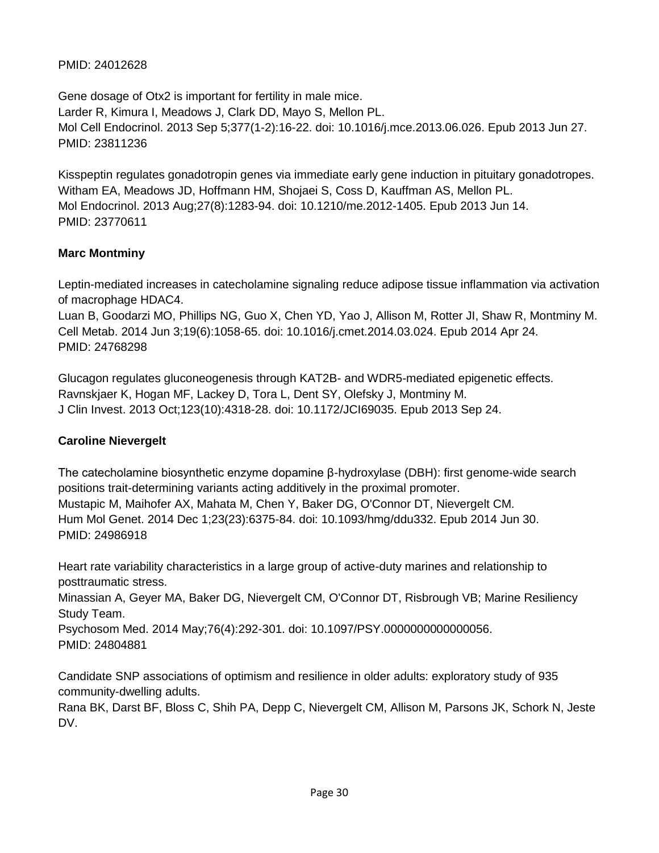## PMID: 24012628

Gene dosage of Otx2 is important for fertility in male mice. Larder R, Kimura I, Meadows J, Clark DD, Mayo S, Mellon PL. Mol Cell Endocrinol. 2013 Sep 5;377(1-2):16-22. doi: 10.1016/j.mce.2013.06.026. Epub 2013 Jun 27. PMID: 23811236

Kisspeptin regulates gonadotropin genes via immediate early gene induction in pituitary gonadotropes. Witham EA, Meadows JD, Hoffmann HM, Shojaei S, Coss D, Kauffman AS, Mellon PL. Mol Endocrinol. 2013 Aug;27(8):1283-94. doi: 10.1210/me.2012-1405. Epub 2013 Jun 14. PMID: 23770611

## **Marc Montminy**

Leptin-mediated increases in catecholamine signaling reduce adipose tissue inflammation via activation of macrophage HDAC4.

Luan B, Goodarzi MO, Phillips NG, Guo X, Chen YD, Yao J, Allison M, Rotter JI, Shaw R, Montminy M. Cell Metab. 2014 Jun 3;19(6):1058-65. doi: 10.1016/j.cmet.2014.03.024. Epub 2014 Apr 24. PMID: 24768298

Glucagon regulates gluconeogenesis through KAT2B- and WDR5-mediated epigenetic effects. Ravnskjaer K, Hogan MF, Lackey D, Tora L, Dent SY, Olefsky J, Montminy M. J Clin Invest. 2013 Oct;123(10):4318-28. doi: 10.1172/JCI69035. Epub 2013 Sep 24.

## **Caroline Nievergelt**

The catecholamine biosynthetic enzyme dopamine β-hydroxylase (DBH): first genome-wide search positions trait-determining variants acting additively in the proximal promoter. Mustapic M, Maihofer AX, Mahata M, Chen Y, Baker DG, O'Connor DT, Nievergelt CM. Hum Mol Genet. 2014 Dec 1;23(23):6375-84. doi: 10.1093/hmg/ddu332. Epub 2014 Jun 30. PMID: 24986918

Heart rate variability characteristics in a large group of active-duty marines and relationship to posttraumatic stress.

Minassian A, Geyer MA, Baker DG, Nievergelt CM, O'Connor DT, Risbrough VB; Marine Resiliency Study Team.

Psychosom Med. 2014 May;76(4):292-301. doi: 10.1097/PSY.0000000000000056. PMID: 24804881

Candidate SNP associations of optimism and resilience in older adults: exploratory study of 935 community-dwelling adults.

Rana BK, Darst BF, Bloss C, Shih PA, Depp C, Nievergelt CM, Allison M, Parsons JK, Schork N, Jeste DV.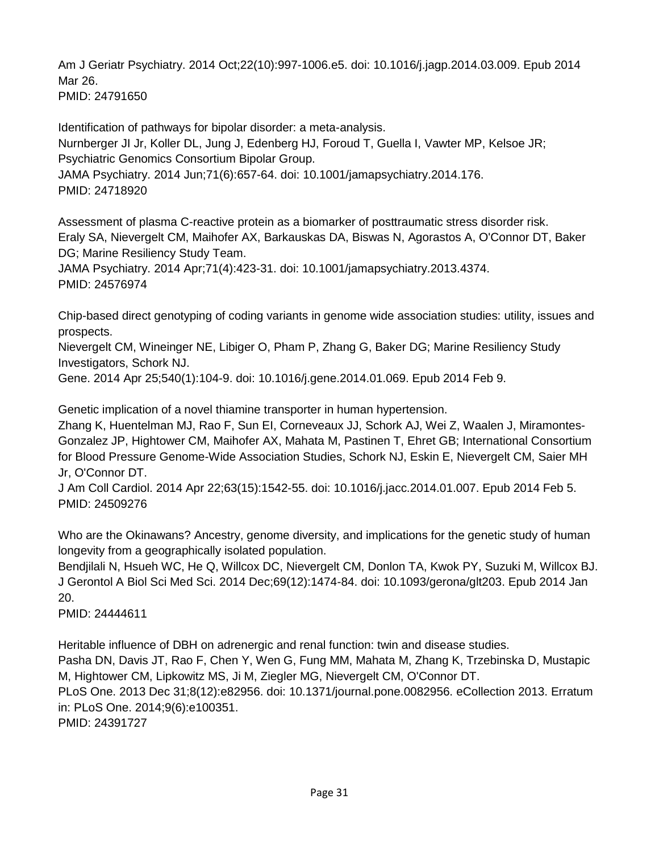Am J Geriatr Psychiatry. 2014 Oct;22(10):997-1006.e5. doi: 10.1016/j.jagp.2014.03.009. Epub 2014 Mar 26. PMID: 24791650

Identification of pathways for bipolar disorder: a meta-analysis. Nurnberger JI Jr, Koller DL, Jung J, Edenberg HJ, Foroud T, Guella I, Vawter MP, Kelsoe JR; Psychiatric Genomics Consortium Bipolar Group.

JAMA Psychiatry. 2014 Jun;71(6):657-64. doi: 10.1001/jamapsychiatry.2014.176. PMID: 24718920

Assessment of plasma C-reactive protein as a biomarker of posttraumatic stress disorder risk. Eraly SA, Nievergelt CM, Maihofer AX, Barkauskas DA, Biswas N, Agorastos A, O'Connor DT, Baker DG; Marine Resiliency Study Team.

JAMA Psychiatry. 2014 Apr;71(4):423-31. doi: 10.1001/jamapsychiatry.2013.4374. PMID: 24576974

Chip-based direct genotyping of coding variants in genome wide association studies: utility, issues and prospects.

Nievergelt CM, Wineinger NE, Libiger O, Pham P, Zhang G, Baker DG; Marine Resiliency Study Investigators, Schork NJ.

Gene. 2014 Apr 25;540(1):104-9. doi: 10.1016/j.gene.2014.01.069. Epub 2014 Feb 9.

Genetic implication of a novel thiamine transporter in human hypertension.

Zhang K, Huentelman MJ, Rao F, Sun EI, Corneveaux JJ, Schork AJ, Wei Z, Waalen J, Miramontes-Gonzalez JP, Hightower CM, Maihofer AX, Mahata M, Pastinen T, Ehret GB; International Consortium for Blood Pressure Genome-Wide Association Studies, Schork NJ, Eskin E, Nievergelt CM, Saier MH Jr, O'Connor DT.

J Am Coll Cardiol. 2014 Apr 22;63(15):1542-55. doi: 10.1016/j.jacc.2014.01.007. Epub 2014 Feb 5. PMID: 24509276

Who are the Okinawans? Ancestry, genome diversity, and implications for the genetic study of human longevity from a geographically isolated population.

Bendjilali N, Hsueh WC, He Q, Willcox DC, Nievergelt CM, Donlon TA, Kwok PY, Suzuki M, Willcox BJ. J Gerontol A Biol Sci Med Sci. 2014 Dec;69(12):1474-84. doi: 10.1093/gerona/glt203. Epub 2014 Jan 20.

PMID: 24444611

Heritable influence of DBH on adrenergic and renal function: twin and disease studies.

Pasha DN, Davis JT, Rao F, Chen Y, Wen G, Fung MM, Mahata M, Zhang K, Trzebinska D, Mustapic M, Hightower CM, Lipkowitz MS, Ji M, Ziegler MG, Nievergelt CM, O'Connor DT.

PLoS One. 2013 Dec 31;8(12):e82956. doi: 10.1371/journal.pone.0082956. eCollection 2013. Erratum in: PLoS One. 2014;9(6):e100351.

PMID: 24391727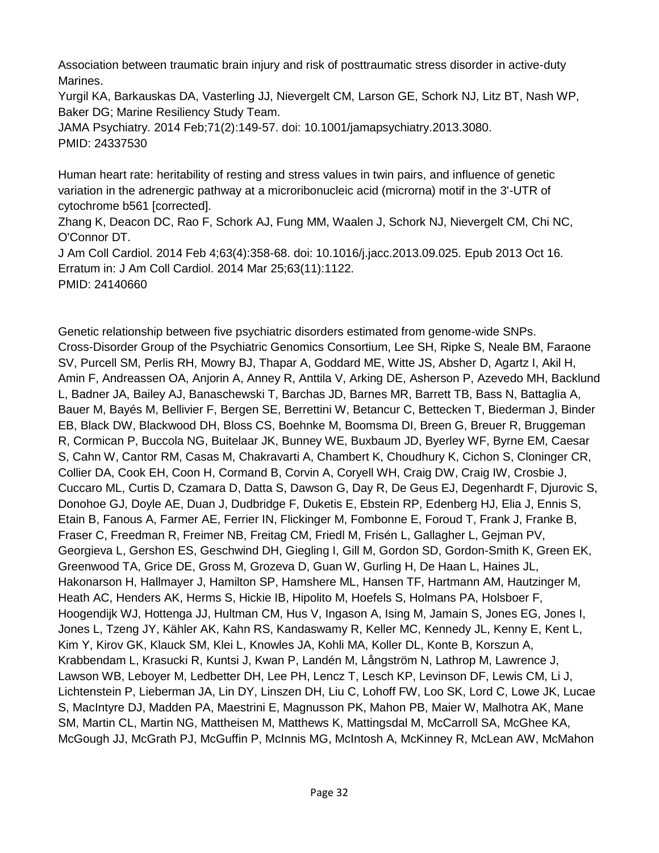Association between traumatic brain injury and risk of posttraumatic stress disorder in active-duty Marines.

Yurgil KA, Barkauskas DA, Vasterling JJ, Nievergelt CM, Larson GE, Schork NJ, Litz BT, Nash WP, Baker DG; Marine Resiliency Study Team.

JAMA Psychiatry. 2014 Feb;71(2):149-57. doi: 10.1001/jamapsychiatry.2013.3080. PMID: 24337530

Human heart rate: heritability of resting and stress values in twin pairs, and influence of genetic variation in the adrenergic pathway at a microribonucleic acid (microrna) motif in the 3'-UTR of cytochrome b561 [corrected].

Zhang K, Deacon DC, Rao F, Schork AJ, Fung MM, Waalen J, Schork NJ, Nievergelt CM, Chi NC, O'Connor DT.

J Am Coll Cardiol. 2014 Feb 4;63(4):358-68. doi: 10.1016/j.jacc.2013.09.025. Epub 2013 Oct 16. Erratum in: J Am Coll Cardiol. 2014 Mar 25;63(11):1122. PMID: 24140660

Genetic relationship between five psychiatric disorders estimated from genome-wide SNPs. Cross-Disorder Group of the Psychiatric Genomics Consortium, Lee SH, Ripke S, Neale BM, Faraone SV, Purcell SM, Perlis RH, Mowry BJ, Thapar A, Goddard ME, Witte JS, Absher D, Agartz I, Akil H, Amin F, Andreassen OA, Anjorin A, Anney R, Anttila V, Arking DE, Asherson P, Azevedo MH, Backlund L, Badner JA, Bailey AJ, Banaschewski T, Barchas JD, Barnes MR, Barrett TB, Bass N, Battaglia A, Bauer M, Bayés M, Bellivier F, Bergen SE, Berrettini W, Betancur C, Bettecken T, Biederman J, Binder EB, Black DW, Blackwood DH, Bloss CS, Boehnke M, Boomsma DI, Breen G, Breuer R, Bruggeman R, Cormican P, Buccola NG, Buitelaar JK, Bunney WE, Buxbaum JD, Byerley WF, Byrne EM, Caesar S, Cahn W, Cantor RM, Casas M, Chakravarti A, Chambert K, Choudhury K, Cichon S, Cloninger CR, Collier DA, Cook EH, Coon H, Cormand B, Corvin A, Coryell WH, Craig DW, Craig IW, Crosbie J, Cuccaro ML, Curtis D, Czamara D, Datta S, Dawson G, Day R, De Geus EJ, Degenhardt F, Djurovic S, Donohoe GJ, Doyle AE, Duan J, Dudbridge F, Duketis E, Ebstein RP, Edenberg HJ, Elia J, Ennis S, Etain B, Fanous A, Farmer AE, Ferrier IN, Flickinger M, Fombonne E, Foroud T, Frank J, Franke B, Fraser C, Freedman R, Freimer NB, Freitag CM, Friedl M, Frisén L, Gallagher L, Gejman PV, Georgieva L, Gershon ES, Geschwind DH, Giegling I, Gill M, Gordon SD, Gordon-Smith K, Green EK, Greenwood TA, Grice DE, Gross M, Grozeva D, Guan W, Gurling H, De Haan L, Haines JL, Hakonarson H, Hallmayer J, Hamilton SP, Hamshere ML, Hansen TF, Hartmann AM, Hautzinger M, Heath AC, Henders AK, Herms S, Hickie IB, Hipolito M, Hoefels S, Holmans PA, Holsboer F, Hoogendijk WJ, Hottenga JJ, Hultman CM, Hus V, Ingason A, Ising M, Jamain S, Jones EG, Jones I, Jones L, Tzeng JY, Kähler AK, Kahn RS, Kandaswamy R, Keller MC, Kennedy JL, Kenny E, Kent L, Kim Y, Kirov GK, Klauck SM, Klei L, Knowles JA, Kohli MA, Koller DL, Konte B, Korszun A, Krabbendam L, Krasucki R, Kuntsi J, Kwan P, Landén M, Långström N, Lathrop M, Lawrence J, Lawson WB, Leboyer M, Ledbetter DH, Lee PH, Lencz T, Lesch KP, Levinson DF, Lewis CM, Li J, Lichtenstein P, Lieberman JA, Lin DY, Linszen DH, Liu C, Lohoff FW, Loo SK, Lord C, Lowe JK, Lucae S, MacIntyre DJ, Madden PA, Maestrini E, Magnusson PK, Mahon PB, Maier W, Malhotra AK, Mane SM, Martin CL, Martin NG, Mattheisen M, Matthews K, Mattingsdal M, McCarroll SA, McGhee KA, McGough JJ, McGrath PJ, McGuffin P, McInnis MG, McIntosh A, McKinney R, McLean AW, McMahon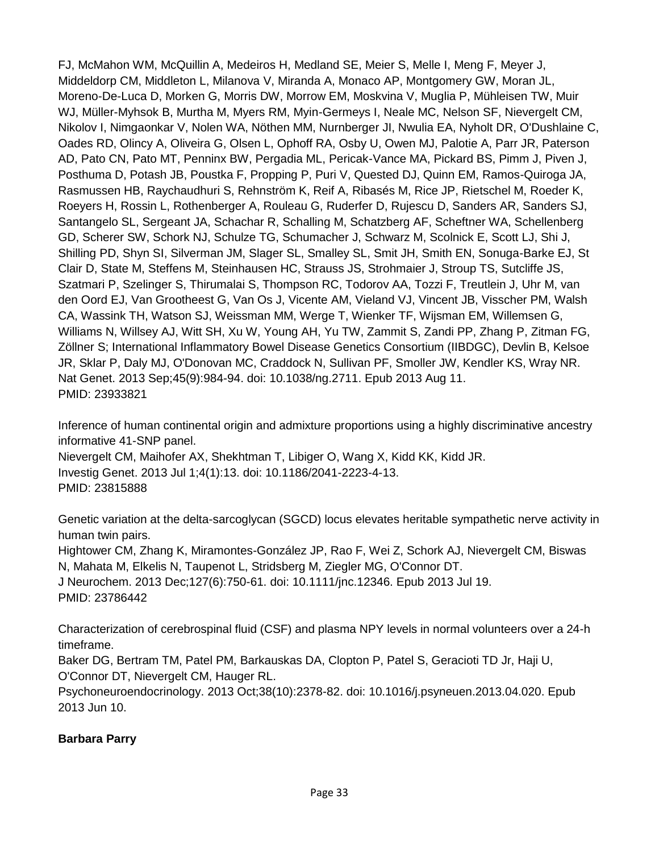FJ, McMahon WM, McQuillin A, Medeiros H, Medland SE, Meier S, Melle I, Meng F, Meyer J, Middeldorp CM, Middleton L, Milanova V, Miranda A, Monaco AP, Montgomery GW, Moran JL, Moreno-De-Luca D, Morken G, Morris DW, Morrow EM, Moskvina V, Muglia P, Mühleisen TW, Muir WJ, Müller-Myhsok B, Murtha M, Myers RM, Myin-Germeys I, Neale MC, Nelson SF, Nievergelt CM, Nikolov I, Nimgaonkar V, Nolen WA, Nöthen MM, Nurnberger JI, Nwulia EA, Nyholt DR, O'Dushlaine C, Oades RD, Olincy A, Oliveira G, Olsen L, Ophoff RA, Osby U, Owen MJ, Palotie A, Parr JR, Paterson AD, Pato CN, Pato MT, Penninx BW, Pergadia ML, Pericak-Vance MA, Pickard BS, Pimm J, Piven J, Posthuma D, Potash JB, Poustka F, Propping P, Puri V, Quested DJ, Quinn EM, Ramos-Quiroga JA, Rasmussen HB, Raychaudhuri S, Rehnström K, Reif A, Ribasés M, Rice JP, Rietschel M, Roeder K, Roeyers H, Rossin L, Rothenberger A, Rouleau G, Ruderfer D, Rujescu D, Sanders AR, Sanders SJ, Santangelo SL, Sergeant JA, Schachar R, Schalling M, Schatzberg AF, Scheftner WA, Schellenberg GD, Scherer SW, Schork NJ, Schulze TG, Schumacher J, Schwarz M, Scolnick E, Scott LJ, Shi J, Shilling PD, Shyn SI, Silverman JM, Slager SL, Smalley SL, Smit JH, Smith EN, Sonuga-Barke EJ, St Clair D, State M, Steffens M, Steinhausen HC, Strauss JS, Strohmaier J, Stroup TS, Sutcliffe JS, Szatmari P, Szelinger S, Thirumalai S, Thompson RC, Todorov AA, Tozzi F, Treutlein J, Uhr M, van den Oord EJ, Van Grootheest G, Van Os J, Vicente AM, Vieland VJ, Vincent JB, Visscher PM, Walsh CA, Wassink TH, Watson SJ, Weissman MM, Werge T, Wienker TF, Wijsman EM, Willemsen G, Williams N, Willsey AJ, Witt SH, Xu W, Young AH, Yu TW, Zammit S, Zandi PP, Zhang P, Zitman FG, Zöllner S; International Inflammatory Bowel Disease Genetics Consortium (IIBDGC), Devlin B, Kelsoe JR, Sklar P, Daly MJ, O'Donovan MC, Craddock N, Sullivan PF, Smoller JW, Kendler KS, Wray NR. Nat Genet. 2013 Sep;45(9):984-94. doi: 10.1038/ng.2711. Epub 2013 Aug 11. PMID: 23933821

Inference of human continental origin and admixture proportions using a highly discriminative ancestry informative 41-SNP panel. Nievergelt CM, Maihofer AX, Shekhtman T, Libiger O, Wang X, Kidd KK, Kidd JR.

Investig Genet. 2013 Jul 1;4(1):13. doi: 10.1186/2041-2223-4-13.

PMID: 23815888

Genetic variation at the delta-sarcoglycan (SGCD) locus elevates heritable sympathetic nerve activity in human twin pairs.

Hightower CM, Zhang K, Miramontes-González JP, Rao F, Wei Z, Schork AJ, Nievergelt CM, Biswas N, Mahata M, Elkelis N, Taupenot L, Stridsberg M, Ziegler MG, O'Connor DT.

J Neurochem. 2013 Dec;127(6):750-61. doi: 10.1111/jnc.12346. Epub 2013 Jul 19. PMID: 23786442

Characterization of cerebrospinal fluid (CSF) and plasma NPY levels in normal volunteers over a 24-h timeframe.

Baker DG, Bertram TM, Patel PM, Barkauskas DA, Clopton P, Patel S, Geracioti TD Jr, Haji U, O'Connor DT, Nievergelt CM, Hauger RL.

Psychoneuroendocrinology. 2013 Oct;38(10):2378-82. doi: 10.1016/j.psyneuen.2013.04.020. Epub 2013 Jun 10.

## **Barbara Parry**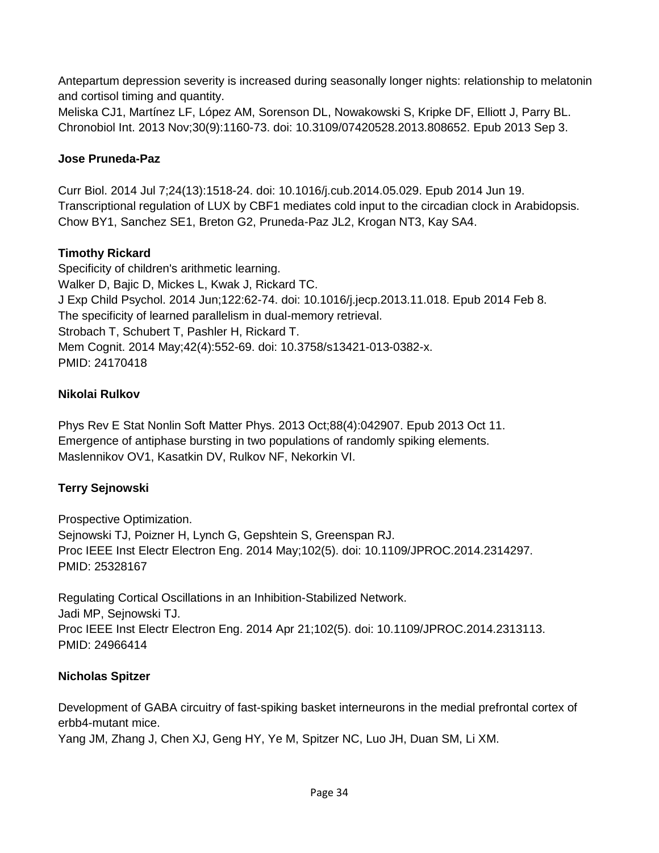Antepartum depression severity is increased during seasonally longer nights: relationship to melatonin and cortisol timing and quantity.

Meliska CJ1, Martínez LF, López AM, Sorenson DL, Nowakowski S, Kripke DF, Elliott J, Parry BL. Chronobiol Int. 2013 Nov;30(9):1160-73. doi: 10.3109/07420528.2013.808652. Epub 2013 Sep 3.

## **Jose Pruneda-Paz**

Curr Biol. 2014 Jul 7;24(13):1518-24. doi: 10.1016/j.cub.2014.05.029. Epub 2014 Jun 19. Transcriptional regulation of LUX by CBF1 mediates cold input to the circadian clock in Arabidopsis. Chow BY1, Sanchez SE1, Breton G2, Pruneda-Paz JL2, Krogan NT3, Kay SA4.

## **Timothy Rickard**

Specificity of children's arithmetic learning. Walker D, Bajic D, Mickes L, Kwak J, Rickard TC. J Exp Child Psychol. 2014 Jun;122:62-74. doi: 10.1016/j.jecp.2013.11.018. Epub 2014 Feb 8. The specificity of learned parallelism in dual-memory retrieval. Strobach T, Schubert T, Pashler H, Rickard T. Mem Cognit. 2014 May;42(4):552-69. doi: 10.3758/s13421-013-0382-x. PMID: 24170418

## **Nikolai Rulkov**

Phys Rev E Stat Nonlin Soft Matter Phys. 2013 Oct;88(4):042907. Epub 2013 Oct 11. Emergence of antiphase bursting in two populations of randomly spiking elements. Maslennikov OV1, Kasatkin DV, Rulkov NF, Nekorkin VI.

## **Terry Sejnowski**

Prospective Optimization. Sejnowski TJ, Poizner H, Lynch G, Gepshtein S, Greenspan RJ. Proc IEEE Inst Electr Electron Eng. 2014 May;102(5). doi: 10.1109/JPROC.2014.2314297. PMID: 25328167

Regulating Cortical Oscillations in an Inhibition-Stabilized Network. Jadi MP, Sejnowski TJ. Proc IEEE Inst Electr Electron Eng. 2014 Apr 21;102(5). doi: 10.1109/JPROC.2014.2313113. PMID: 24966414

## **Nicholas Spitzer**

Development of GABA circuitry of fast-spiking basket interneurons in the medial prefrontal cortex of erbb4-mutant mice.

Yang JM, Zhang J, Chen XJ, Geng HY, Ye M, Spitzer NC, Luo JH, Duan SM, Li XM.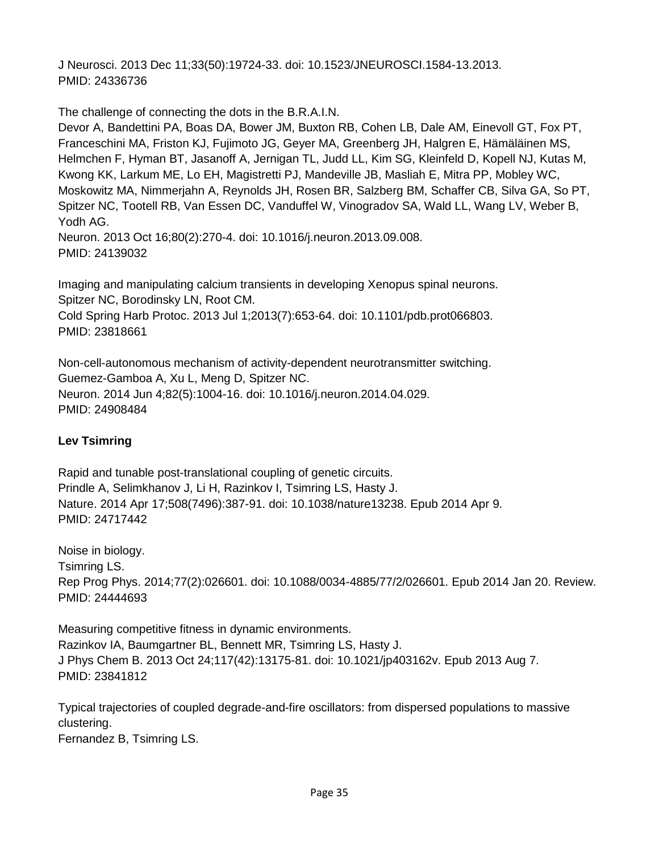J Neurosci. 2013 Dec 11;33(50):19724-33. doi: 10.1523/JNEUROSCI.1584-13.2013. PMID: 24336736

The challenge of connecting the dots in the B.R.A.I.N.

Devor A, Bandettini PA, Boas DA, Bower JM, Buxton RB, Cohen LB, Dale AM, Einevoll GT, Fox PT, Franceschini MA, Friston KJ, Fujimoto JG, Geyer MA, Greenberg JH, Halgren E, Hämäläinen MS, Helmchen F, Hyman BT, Jasanoff A, Jernigan TL, Judd LL, Kim SG, Kleinfeld D, Kopell NJ, Kutas M, Kwong KK, Larkum ME, Lo EH, Magistretti PJ, Mandeville JB, Masliah E, Mitra PP, Mobley WC, Moskowitz MA, Nimmerjahn A, Reynolds JH, Rosen BR, Salzberg BM, Schaffer CB, Silva GA, So PT, Spitzer NC, Tootell RB, Van Essen DC, Vanduffel W, Vinogradov SA, Wald LL, Wang LV, Weber B, Yodh AG. Neuron. 2013 Oct 16;80(2):270-4. doi: 10.1016/j.neuron.2013.09.008.

PMID: 24139032

Imaging and manipulating calcium transients in developing Xenopus spinal neurons. Spitzer NC, Borodinsky LN, Root CM. Cold Spring Harb Protoc. 2013 Jul 1;2013(7):653-64. doi: 10.1101/pdb.prot066803. PMID: 23818661

Non-cell-autonomous mechanism of activity-dependent neurotransmitter switching. Guemez-Gamboa A, Xu L, Meng D, Spitzer NC. Neuron. 2014 Jun 4;82(5):1004-16. doi: 10.1016/j.neuron.2014.04.029. PMID: 24908484

## **Lev Tsimring**

Rapid and tunable post-translational coupling of genetic circuits. Prindle A, Selimkhanov J, Li H, Razinkov I, Tsimring LS, Hasty J. Nature. 2014 Apr 17;508(7496):387-91. doi: 10.1038/nature13238. Epub 2014 Apr 9. PMID: 24717442

Noise in biology. Tsimring LS. Rep Prog Phys. 2014;77(2):026601. doi: 10.1088/0034-4885/77/2/026601. Epub 2014 Jan 20. Review. PMID: 24444693

Measuring competitive fitness in dynamic environments. Razinkov IA, Baumgartner BL, Bennett MR, Tsimring LS, Hasty J. J Phys Chem B. 2013 Oct 24;117(42):13175-81. doi: 10.1021/jp403162v. Epub 2013 Aug 7. PMID: 23841812

Typical trajectories of coupled degrade-and-fire oscillators: from dispersed populations to massive clustering. Fernandez B, Tsimring LS.